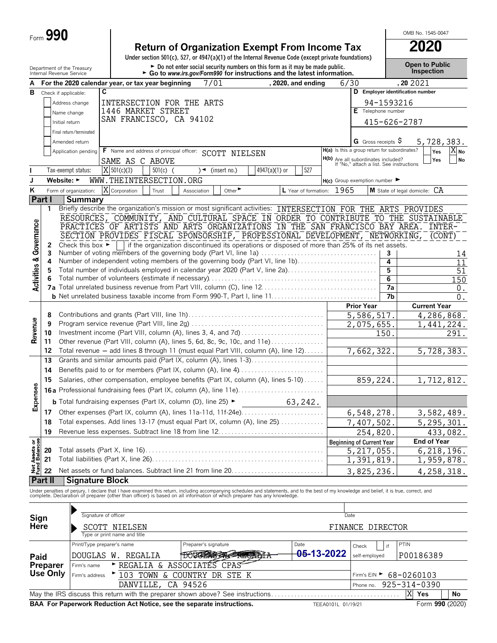| Form $\boldsymbol{J}$ | 990 |  |
|-----------------------|-----|--|
|                       |     |  |

|                                | Form 990      |                                                                                                                                                                                                                                   |                                                        |            |             |      |                            |               |                                                                                                                                                                                   |      |                                                                                 |                     | OMB No. 1545-0047                      |
|--------------------------------|---------------|-----------------------------------------------------------------------------------------------------------------------------------------------------------------------------------------------------------------------------------|--------------------------------------------------------|------------|-------------|------|----------------------------|---------------|-----------------------------------------------------------------------------------------------------------------------------------------------------------------------------------|------|---------------------------------------------------------------------------------|---------------------|----------------------------------------|
|                                |               |                                                                                                                                                                                                                                   |                                                        |            |             |      |                            |               | <b>Return of Organization Exempt From Income Tax</b>                                                                                                                              |      |                                                                                 |                     | 2020                                   |
|                                |               |                                                                                                                                                                                                                                   |                                                        |            |             |      |                            |               | Under section 501(c), 527, or 4947(a)(1) of the Internal Revenue Code (except private foundations)<br>Do not enter social security numbers on this form as it may be made public. |      |                                                                                 |                     | <b>Open to Public</b>                  |
|                                |               | Department of the Treasury<br>Internal Revenue Service                                                                                                                                                                            |                                                        |            |             |      |                            |               | $\triangleright$ Go to www.irs.gov/Form990 for instructions and the latest information.                                                                                           |      |                                                                                 |                     | Inspection                             |
| A                              |               | For the 2020 calendar year, or tax year beginning                                                                                                                                                                                 |                                                        |            |             | 7/01 |                            |               | . 2020. and ending                                                                                                                                                                |      | 6/30                                                                            |                     | , 20 20 21                             |
| в                              |               | Check if applicable:                                                                                                                                                                                                              | C                                                      |            |             |      |                            |               |                                                                                                                                                                                   |      |                                                                                 |                     | D Employer identification number       |
|                                |               | Address change                                                                                                                                                                                                                    | INTERSECTION FOR THE ARTS<br>1446 MARKET STREET        |            |             |      |                            |               |                                                                                                                                                                                   |      | E Telephone number                                                              | 94-1593216          |                                        |
|                                |               | Name change                                                                                                                                                                                                                       | SAN FRANCISCO, CA 94102                                |            |             |      |                            |               |                                                                                                                                                                                   |      |                                                                                 |                     |                                        |
|                                |               | Initial return<br>Final return/terminated                                                                                                                                                                                         |                                                        |            |             |      |                            |               |                                                                                                                                                                                   |      |                                                                                 |                     | 415-626-2787                           |
|                                |               | Amended return                                                                                                                                                                                                                    |                                                        |            |             |      |                            |               |                                                                                                                                                                                   |      | G Gross receipts \$                                                             |                     | 5,728,383.                             |
|                                |               | Application pending                                                                                                                                                                                                               | F Name and address of principal officer: SCOTT NIELSEN |            |             |      |                            |               |                                                                                                                                                                                   |      | H(a) Is this a group return for subordinates?                                   |                     | Yes<br>Λ No                            |
|                                |               |                                                                                                                                                                                                                                   | SAME AS C ABOVE                                        |            |             |      |                            |               |                                                                                                                                                                                   |      | H(b) Are all subordinates included?<br>If "No," attach a list. See instructions |                     | Yes<br>No                              |
|                                |               | Tax-exempt status:                                                                                                                                                                                                                | $X$ 501(c)(3)                                          | $501(c)$ ( |             |      | $\rightarrow$ (insert no.) | 4947(a)(1) or | 527                                                                                                                                                                               |      |                                                                                 |                     |                                        |
| J                              |               | Website: $\blacktriangleright$                                                                                                                                                                                                    | WWW.THEINTERSECTION.ORG                                |            |             |      |                            |               |                                                                                                                                                                                   |      | $H(c)$ Group exemption number                                                   |                     |                                        |
| ĸ                              |               | Form of organization:                                                                                                                                                                                                             | X<br>Corporation                                       | Trust      | Association |      | Other <sup>&gt;</sup>      |               | L Year of formation:                                                                                                                                                              | 1965 |                                                                                 |                     | M State of legal domicile:<br>CA       |
|                                | <b>Part I</b> | <b>Summary</b>                                                                                                                                                                                                                    |                                                        |            |             |      |                            |               |                                                                                                                                                                                   |      |                                                                                 |                     |                                        |
|                                |               | Briefly describe the organization's mission or most significant activities: INTERSECTION FOR THE ARTS                                                                                                                             |                                                        |            |             |      |                            |               |                                                                                                                                                                                   |      |                                                                                 |                     | PROVIDES                               |
|                                |               |                                                                                                                                                                                                                                   |                                                        |            |             |      |                            |               | RESOURCES, COMMUNITY, AND CULTURAL SPACE IN ORDER TO CONTRIBUTE TO<br>PRACTICES OF ARTISTS AND ARTS ORGANIZATIONS IN THE SAN FRANCISCO BAY AREA.                                  |      |                                                                                 | THE                 | SUSTAINABLE<br>INTER-                  |
| Governance                     |               |                                                                                                                                                                                                                                   |                                                        |            |             |      |                            |               | SECTION PROVIDES FISCAL SPONSORSHIP, PROFESSIONAL DEVELOPMENT, NETWORKING,                                                                                                        |      |                                                                                 |                     | (CONT)                                 |
|                                | 2             | Check this box $\blacktriangleright$                                                                                                                                                                                              |                                                        |            |             |      |                            |               | if the organization discontinued its operations or disposed of more than 25% of its net assets.                                                                                   |      |                                                                                 |                     |                                        |
|                                | 3             | Number of voting members of the governing body (Part VI, line 1a)                                                                                                                                                                 |                                                        |            |             |      |                            |               |                                                                                                                                                                                   |      |                                                                                 | 3                   | 14                                     |
|                                | 4<br>5        | Number of independent voting members of the governing body (Part VI, line 1b)<br>Total number of individuals employed in calendar year 2020 (Part V, line 2a)                                                                     |                                                        |            |             |      |                            |               |                                                                                                                                                                                   |      |                                                                                 | $\overline{4}$<br>5 | 11                                     |
| <b>Activities &amp;</b>        |               |                                                                                                                                                                                                                                   |                                                        |            |             |      |                            |               |                                                                                                                                                                                   |      |                                                                                 | 6                   | 51<br>L50                              |
|                                |               |                                                                                                                                                                                                                                   |                                                        |            |             |      |                            |               |                                                                                                                                                                                   |      |                                                                                 | 7a                  | 0.                                     |
|                                |               |                                                                                                                                                                                                                                   |                                                        |            |             |      |                            |               |                                                                                                                                                                                   |      |                                                                                 | $\overline{7b}$     | 0.                                     |
|                                |               |                                                                                                                                                                                                                                   |                                                        |            |             |      |                            |               |                                                                                                                                                                                   |      | <b>Prior Year</b>                                                               |                     | <b>Current Year</b>                    |
|                                | 8<br>9        |                                                                                                                                                                                                                                   |                                                        |            |             |      |                            |               |                                                                                                                                                                                   |      | 5,586,517<br>2,075,655                                                          |                     | $\overline{4,286,868}$ .<br>1,441,224. |
| Revenue                        | 10            | Investment income (Part VIII, column (A), lines 3, 4, and 7d)                                                                                                                                                                     |                                                        |            |             |      |                            |               |                                                                                                                                                                                   |      |                                                                                 | 150                 | 291.                                   |
|                                | 11            | Other revenue (Part VIII, column (A), lines 5, 6d, 8c, 9c, 10c, and 11e)                                                                                                                                                          |                                                        |            |             |      |                            |               |                                                                                                                                                                                   |      |                                                                                 |                     |                                        |
|                                | 12            | Total revenue - add lines 8 through 11 (must equal Part VIII, column (A), line 12)                                                                                                                                                |                                                        |            |             |      |                            |               |                                                                                                                                                                                   |      | 7,662,322.                                                                      |                     | 5,728,383.                             |
|                                | 13            | Grants and similar amounts paid (Part IX, column (A), lines 1-3)                                                                                                                                                                  |                                                        |            |             |      |                            |               |                                                                                                                                                                                   |      |                                                                                 |                     |                                        |
|                                | 14            | Benefits paid to or for members (Part IX, column (A), line 4)                                                                                                                                                                     |                                                        |            |             |      |                            |               |                                                                                                                                                                                   |      |                                                                                 |                     |                                        |
| φ                              | 15            | Salaries, other compensation, employee benefits (Part IX, column (A), lines 5-10)                                                                                                                                                 |                                                        |            |             |      |                            |               |                                                                                                                                                                                   |      | 859,224.                                                                        |                     | 1,712,812.                             |
|                                |               | <b>16a</b> Professional fundraising fees (Part IX, column (A), line 11e)                                                                                                                                                          |                                                        |            |             |      |                            |               |                                                                                                                                                                                   |      |                                                                                 |                     |                                        |
| Expense                        |               | <b>b</b> Total fundraising expenses (Part IX, column (D), line 25) $\blacktriangleright$                                                                                                                                          |                                                        |            |             |      |                            |               | 63,242.                                                                                                                                                                           |      |                                                                                 |                     |                                        |
|                                | 17            | Other expenses (Part IX, column (A), lines 11a-11d, 11f-24e)                                                                                                                                                                      |                                                        |            |             |      |                            |               |                                                                                                                                                                                   |      | 6,548,278.                                                                      |                     | 3,582,489.                             |
|                                | 18            | Total expenses. Add lines 13-17 (must equal Part IX, column (A), line 25)                                                                                                                                                         |                                                        |            |             |      |                            |               |                                                                                                                                                                                   |      | 7,407,502.                                                                      |                     | 5, 295, 301.                           |
|                                | 19            |                                                                                                                                                                                                                                   |                                                        |            |             |      |                            |               |                                                                                                                                                                                   |      | 254,820.<br><b>Beginning of Current Year</b>                                    |                     | 433,082.<br><b>End of Year</b>         |
|                                | 20            |                                                                                                                                                                                                                                   |                                                        |            |             |      |                            |               |                                                                                                                                                                                   |      | 5, 217, 055.                                                                    |                     | 6, 218, 196.                           |
|                                | 21            |                                                                                                                                                                                                                                   |                                                        |            |             |      |                            |               |                                                                                                                                                                                   |      | 1,391,819.                                                                      |                     | 1,959,878.                             |
| Net Assets or<br>Fund Balances | 22            |                                                                                                                                                                                                                                   |                                                        |            |             |      |                            |               |                                                                                                                                                                                   |      | 3,825,236.                                                                      |                     | 4, 258, 318.                           |
|                                | Part II       | <b>Signature Block</b>                                                                                                                                                                                                            |                                                        |            |             |      |                            |               |                                                                                                                                                                                   |      |                                                                                 |                     |                                        |
|                                |               | Under penalties of perjury, I declare that I have examined this return, including accompanying schedules and statements, and to the best of my knowledge and belief, it is true, correct, and<br>complete. Declaration of prepare |                                                        |            |             |      |                            |               |                                                                                                                                                                                   |      |                                                                                 |                     |                                        |
|                                |               |                                                                                                                                                                                                                                   |                                                        |            |             |      |                            |               |                                                                                                                                                                                   |      |                                                                                 |                     |                                        |
| Sign                           |               |                                                                                                                                                                                                                                   | Signature of officer                                   |            |             |      |                            |               |                                                                                                                                                                                   |      | Date                                                                            |                     |                                        |
| Here                           |               |                                                                                                                                                                                                                                   | SCOTT NIELSEN                                          |            |             |      |                            |               |                                                                                                                                                                                   |      | FINANCE DIRECTOR                                                                |                     |                                        |
|                                |               |                                                                                                                                                                                                                                   | Type or print name and title                           |            |             |      |                            |               |                                                                                                                                                                                   |      |                                                                                 |                     |                                        |

|                                                                                                                 | Print/Type preparer's name                                                | Preparer's signature                   | Date           | Check         | <b>PTIN</b>  |  |
|-----------------------------------------------------------------------------------------------------------------|---------------------------------------------------------------------------|----------------------------------------|----------------|---------------|--------------|--|
| Paid                                                                                                            | DOUGLAS W. REGALIA                                                        | DOUGHASSIG TREGAN A                    | $+0$ 5-13-2022 | self-employed | P00186389    |  |
| Preparer                                                                                                        | EXPREGALIA & ASSOCIATES CPAS<br>Firm's name                               |                                        |                |               |              |  |
|                                                                                                                 | Use Only $ F_{\text{Firm's address}} \rangle$ 103 TOWN & COUNTRY DR STE K | Firm's EIN $\triangleright$ 68-0260103 |                |               |              |  |
|                                                                                                                 | DANVILLE, CA 94526                                                        |                                        |                | Phone no.     | 925-314-0390 |  |
| ΙXΙ<br>May the IRS discuss this return with the preparer shown above? See instructions<br>Yes<br>No             |                                                                           |                                        |                |               |              |  |
| BAA For Paperwork Reduction Act Notice, see the separate instructions.<br>Form 990 (2020)<br>TEEA0101L 01/19/21 |                                                                           |                                        |                |               |              |  |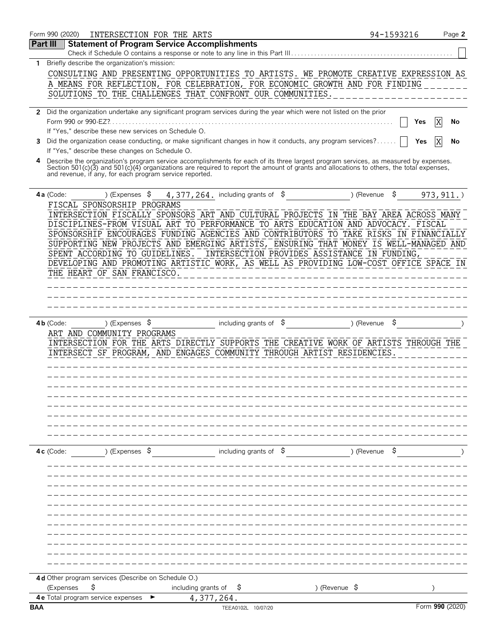|              | Form 990 (2020)<br>INTERSECTION FOR THE ARTS                                                                                                                                                                                                                                                                                                                                                                                                                                                                   | 94-1593216                                   | Page 2          |
|--------------|----------------------------------------------------------------------------------------------------------------------------------------------------------------------------------------------------------------------------------------------------------------------------------------------------------------------------------------------------------------------------------------------------------------------------------------------------------------------------------------------------------------|----------------------------------------------|-----------------|
|              | <b>Statement of Program Service Accomplishments</b><br>l Part III<br>Check if Schedule O contains a response or note to any line in this Part III.                                                                                                                                                                                                                                                                                                                                                             |                                              |                 |
| 1.           | Briefly describe the organization's mission:                                                                                                                                                                                                                                                                                                                                                                                                                                                                   |                                              |                 |
|              | CONSULTING AND PRESENTING OPPORTUNITIES TO ARTISTS. WE PROMOTE CREATIVE EXPRESSION AS<br>A MEANS FOR REFLECTION, FOR CELEBRATION, FOR ECONOMIC GROWTH AND FOR FINDING<br>SOLUTIONS TO THE CHALLENGES THAT CONFRONT OUR COMMUNITIES.                                                                                                                                                                                                                                                                            |                                              |                 |
| $\mathbf{2}$ | Did the organization undertake any significant program services during the year which were not listed on the prior<br>Form 990 or 990-EZ?                                                                                                                                                                                                                                                                                                                                                                      | Yes                                          | X<br>No         |
| 3            | If "Yes," describe these new services on Schedule O.<br>Did the organization cease conducting, or make significant changes in how it conducts, any program services?<br>If "Yes," describe these changes on Schedule O.                                                                                                                                                                                                                                                                                        | Yes                                          | X<br>No         |
|              | Describe the organization's program service accomplishments for each of its three largest program services, as measured by expenses.<br>Section $501(c)(3)$ and $501(c)(4)$ organizations are required to report the amount of grants and allocations to others, the total expenses,<br>and revenue, if any, for each program service reported.                                                                                                                                                                |                                              |                 |
|              | ) (Expenses $\sqrt{5}$<br>4, 377, 264. including grants of $$$<br>$4a$ (Code:<br>FISCAL SPONSORSHIP PROGRAMS                                                                                                                                                                                                                                                                                                                                                                                                   | \$<br>) (Revenue                             | 973, 911.       |
|              | INTERSECTION FISCALLY SPONSORS ART AND CULTURAL PROJECTS IN THE BAY AREA ACROSS MANY<br>DISCIPLINES-FROM VISUAL ART TO PERFORMANCE TO ARTS EDUCATION AND ADVOCACY.<br>SPONSORSHIP ENCOURAGES FUNDING AGENCIES AND CONTRIBUTORS TO TAKE RISKS IN FINANCIALLY<br>SUPPORTING NEW PROJECTS AND EMERGING ARTISTS, ENSURING THAT MONEY IS WELL-MANAGED AND<br>SPENT ACCORDING TO GUIDELINES.<br>DEVELOPING AND PROMOTING ARTISTIC WORK, AS WELL AS PROVIDING LOW-COST OFFICE SPACE IN<br>THE HEART OF SAN FRANCISCO. | INTERSECTION PROVIDES ASSISTANCE IN FUNDING, | FISCAL          |
|              |                                                                                                                                                                                                                                                                                                                                                                                                                                                                                                                |                                              |                 |
|              | ) (Expenses $\sqrt{5}$<br>including grants of<br>$4b$ (Code:<br>ART AND COMMUNITY PROGRAMS<br>INTERSECTION FOR THE ARTS DIRECTLY SUPPORTS THE CREATIVE WORK OF ARTISTS THROUGH THE<br>INTERSECT SF PROGRAM, AND ENGAGES COMMUNITY THROUGH ARTIST RESIDENCIES.                                                                                                                                                                                                                                                  | \$<br>) (Revenue                             |                 |
|              |                                                                                                                                                                                                                                                                                                                                                                                                                                                                                                                |                                              |                 |
|              |                                                                                                                                                                                                                                                                                                                                                                                                                                                                                                                |                                              |                 |
|              | 4c (Code:<br>) (Expenses $\sqrt{5}$<br>including grants of $\frac{1}{2}$                                                                                                                                                                                                                                                                                                                                                                                                                                       | -\$<br>) (Revenue                            |                 |
|              |                                                                                                                                                                                                                                                                                                                                                                                                                                                                                                                |                                              |                 |
|              |                                                                                                                                                                                                                                                                                                                                                                                                                                                                                                                |                                              |                 |
|              |                                                                                                                                                                                                                                                                                                                                                                                                                                                                                                                |                                              |                 |
|              |                                                                                                                                                                                                                                                                                                                                                                                                                                                                                                                |                                              |                 |
|              |                                                                                                                                                                                                                                                                                                                                                                                                                                                                                                                |                                              |                 |
|              | 4 d Other program services (Describe on Schedule O.)<br>\$<br>(Expenses<br>including grants of<br>Ş                                                                                                                                                                                                                                                                                                                                                                                                            | ) (Revenue $\frac{1}{2}$                     |                 |
|              | 4e Total program service expenses<br>4,377,264.                                                                                                                                                                                                                                                                                                                                                                                                                                                                |                                              | Form 990 (2020) |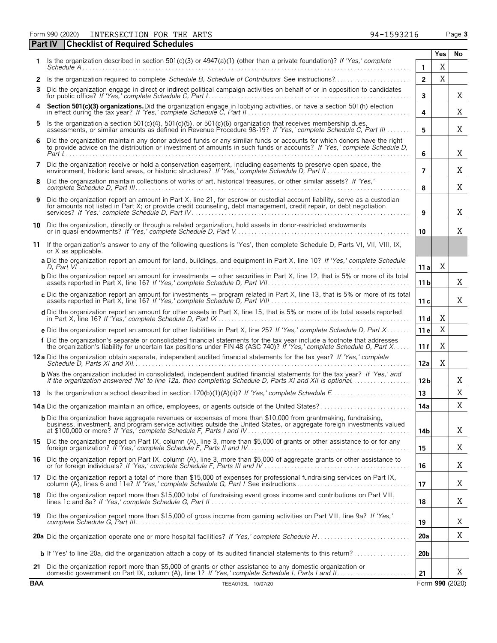Form 990 (2020) Page **3** INTERSECTION FOR THE ARTS 94-1593216 **Part IV Checklist of Required Schedules**

|    | 9116661131 01 1164411 64 OCHG441                                                                                                                                                                                                                    |                 | Yes | No |
|----|-----------------------------------------------------------------------------------------------------------------------------------------------------------------------------------------------------------------------------------------------------|-----------------|-----|----|
|    | 1 Is the organization described in section 501(c)(3) or 4947(a)(1) (other than a private foundation)? If 'Yes,' complete                                                                                                                            | 1               | Χ   |    |
| 2  | Is the organization required to complete Schedule B. Schedule of Contributors See instructions?                                                                                                                                                     | $\overline{2}$  | X   |    |
| 3  | Did the organization engage in direct or indirect political campaign activities on behalf of or in opposition to candidates                                                                                                                         | 3               |     | Χ  |
| 4  | Section 501(c)(3) organizations. Did the organization engage in lobbying activities, or have a section 501(h) election                                                                                                                              | 4               |     | Χ  |
| 5  | Is the organization a section $501(c)(4)$ , $501(c)(5)$ , or $501(c)(6)$ organization that receives membership dues,<br>assessments, or similar amounts as defined in Revenue Procedure 98-19? If 'Yes,' complete Schedule C, Part III              | 5               |     | Χ  |
| 6  | Did the organization maintain any donor advised funds or any similar funds or accounts for which donors have the right<br>to provide advice on the distribution or investment of amounts in such funds or accounts? If 'Yes,' complete Schedule D,  | 6               |     | Χ  |
| 7  | Did the organization receive or hold a conservation easement, including easements to preserve open space, the                                                                                                                                       | $\overline{7}$  |     | Χ  |
| 8  | Did the organization maintain collections of works of art, historical treasures, or other similar assets? If 'Yes,'                                                                                                                                 | 8               |     | Χ  |
| 9  | Did the organization report an amount in Part X, line 21, for escrow or custodial account liability, serve as a custodian<br>for amounts not listed in Part X; or provide credit counseling, debt management, credit repair, or debt negotiation    | 9               |     | Χ  |
| 10 | Did the organization, directly or through a related organization, hold assets in donor-restricted endowments                                                                                                                                        | 10              |     | Χ  |
| 11 | If the organization's answer to any of the following questions is 'Yes', then complete Schedule D, Parts VI, VII, VIII, IX,<br>or X as applicable.                                                                                                  |                 |     |    |
|    | a Did the organization report an amount for land, buildings, and equipment in Part X, line 10? If 'Yes,' complete Schedule                                                                                                                          | 11 a            | Χ   |    |
|    | <b>b</b> Did the organization report an amount for investments - other securities in Part X, line 12, that is 5% or more of its total                                                                                                               | 11 <sub>b</sub> |     | Χ  |
|    | c Did the organization report an amount for investments - program related in Part X, line 13, that is 5% or more of its total                                                                                                                       | 11c             |     | Χ  |
|    | d Did the organization report an amount for other assets in Part X, line 15, that is 5% or more of its total assets reported                                                                                                                        | 11d             | Χ   |    |
|    | e Did the organization report an amount for other liabilities in Part X, line 25? If 'Yes,' complete Schedule D, Part X                                                                                                                             | 11 <sub>e</sub> | X   |    |
|    | f Did the organization's separate or consolidated financial statements for the tax year include a footnote that addresses<br>the organization's liability for uncertain tax positions under FIN 48 (ASC 740)? If 'Yes,' complete Schedule D, Part X | 11 f            | Χ   |    |
|    | 12a Did the organization obtain separate, independent audited financial statements for the tax year? If 'Yes,' complete                                                                                                                             | 12a             | Χ   |    |
|    | <b>b</b> Was the organization included in consolidated, independent audited financial statements for the tax year? If 'Yes,' and<br>if the organization answered 'No' to line 12a, then completing Schedule D, Parts XI and XII is optional         | 12 b            |     | Χ  |
|    |                                                                                                                                                                                                                                                     | 13              |     | Χ  |
|    |                                                                                                                                                                                                                                                     | 14a             |     | Χ  |
|    | <b>b</b> Did the organization have aggregate revenues or expenses of more than \$10,000 from grantmaking, fundraising,<br>business, investment, and program service activities outside the United States, or aggregate foreign investments valued   | 14b             |     | X  |
|    | 15 Did the organization report on Part IX, column (A), line 3, more than \$5,000 of grants or other assistance to or for any                                                                                                                        | 15              |     | Χ  |
|    | 16 Did the organization report on Part IX, column (A), line 3, more than \$5,000 of aggregate grants or other assistance to                                                                                                                         | 16              |     | Χ  |
|    | 17 Did the organization report a total of more than \$15,000 of expenses for professional fundraising services on Part IX,<br>column (A), lines 6 and 11e? If Yes, complete Schedule G, Part I See instructions                                     | 17              |     | Χ  |
| 18 | Did the organization report more than \$15,000 total of fundraising event gross income and contributions on Part VIII,                                                                                                                              | 18              |     | Χ  |
|    | 19 Did the organization report more than \$15,000 of gross income from gaming activities on Part VIII, line 9a? If 'Yes,'                                                                                                                           | 19              |     | Χ  |
|    | 20a Did the organization operate one or more hospital facilities? If 'Yes,' complete Schedule H                                                                                                                                                     | <b>20a</b>      |     | Χ  |
|    | <b>b</b> If 'Yes' to line 20a, did the organization attach a copy of its audited financial statements to this return?                                                                                                                               | 20b             |     |    |
|    | 21 Did the organization report more than \$5,000 of grants or other assistance to any domestic organization or                                                                                                                                      | 21              |     | X  |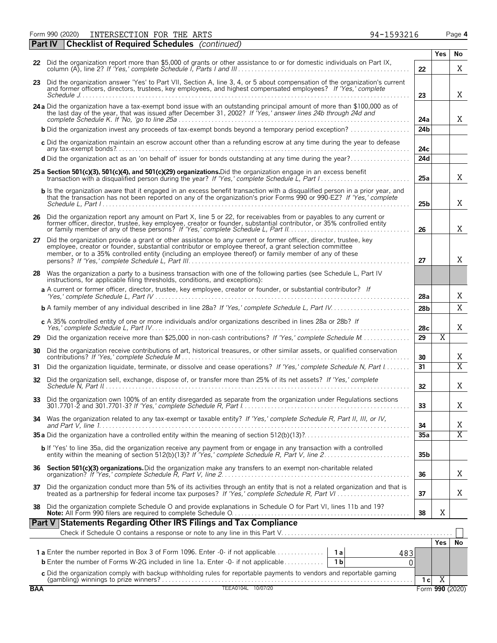Form 990 (2020) INTERSECTION FOR THE ARTS **1996 120 CM 2016 12 CM 2016** Page 4 **Part IV Checklist of Required Schedules** *(continued)*

| <b>BAA</b> |                                                                                                                                                                                                                                                                                                                                          |                 | Form 990 (2020) |                |
|------------|------------------------------------------------------------------------------------------------------------------------------------------------------------------------------------------------------------------------------------------------------------------------------------------------------------------------------------------|-----------------|-----------------|----------------|
|            | (gambling) winnings to prize winners?<br>TEEA0104L 10/07/20                                                                                                                                                                                                                                                                              | 1 с             | $\overline{X}$  |                |
|            | c Did the organization comply with backup withholding rules for reportable payments to vendors and reportable qaming                                                                                                                                                                                                                     |                 |                 |                |
|            | 483<br><b>b</b> Enter the number of Forms W-2G included in line 1a. Enter -0- if not applicable<br>1 <sub>b</sub><br>0                                                                                                                                                                                                                   |                 |                 |                |
|            |                                                                                                                                                                                                                                                                                                                                          |                 | Yes No          |                |
|            |                                                                                                                                                                                                                                                                                                                                          |                 |                 |                |
|            | Part V Statements Regarding Other IRS Filings and Tax Compliance                                                                                                                                                                                                                                                                         |                 |                 |                |
| 38         | Did the organization complete Schedule O and provide explanations in Schedule O for Part VI, lines 11b and 19?                                                                                                                                                                                                                           | 38              | Χ               |                |
| 37         | Did the organization conduct more than 5% of its activities through an entity that is not a related organization and that is treated as a partnership for federal income tax purposes? If 'Yes,' complete Schedule R, Part VI.                                                                                                           | 37              |                 | Χ              |
|            | 36 Section 501(c)(3) organizations. Did the organization make any transfers to an exempt non-charitable related                                                                                                                                                                                                                          | 36              |                 | Χ              |
|            | <b>b</b> If 'Yes' to line 35a, did the organization receive any payment from or engage in any transaction with a controlled entity within the meaning of section 512(b)(13)? If 'Yes,' complete Schedule R, Part V, line 2                                                                                                               | 35 <sub>b</sub> |                 |                |
|            |                                                                                                                                                                                                                                                                                                                                          | 35a             |                 | Χ              |
| 34         | Was the organization related to any tax-exempt or taxable entity? If 'Yes,' complete Schedule R, Part II, III, or IV,                                                                                                                                                                                                                    | 34              |                 | Χ              |
| 33         | Did the organization own 100% of an entity disregarded as separate from the organization under Regulations sections                                                                                                                                                                                                                      | 33              |                 | Χ              |
| 32         | Did the organization sell, exchange, dispose of, or transfer more than 25% of its net assets? If 'Yes,' complete                                                                                                                                                                                                                         | 32              |                 | Χ              |
| 31         | Did the organization liquidate, terminate, or dissolve and cease operations? If 'Yes,' complete Schedule N, Part I                                                                                                                                                                                                                       | 31              |                 | $\overline{X}$ |
| 30         | Did the organization receive contributions of art, historical treasures, or other similar assets, or qualified conservation                                                                                                                                                                                                              | 30              |                 | Χ              |
| 29         |                                                                                                                                                                                                                                                                                                                                          | 29              | $\overline{X}$  |                |
|            | c A 35% controlled entity of one or more individuals and/or organizations described in lines 28a or 28b? If                                                                                                                                                                                                                              | 28c             |                 | Χ              |
|            |                                                                                                                                                                                                                                                                                                                                          | 28 <sub>b</sub> |                 | X              |
|            | a A current or former officer, director, trustee, key employee, creator or founder, or substantial contributor? If                                                                                                                                                                                                                       | 28a             |                 | Χ              |
|            | 28 Was the organization a party to a business transaction with one of the following parties (see Schedule L, Part IV<br>instructions, for applicable filing thresholds, conditions, and exceptions):                                                                                                                                     |                 |                 |                |
|            | 27 Did the organization provide a grant or other assistance to any current or former officer, director, trustee, key<br>employee, creator or founder, substantial contributor or employee thereof, a grant selection committee<br>member, or to a 35% controlled entity (including an employee thereof) or family member of any of these | 27              |                 | Χ              |
|            | 26 Did the organization report any amount on Part X, line 5 or 22, for receivables from or payables to any current or<br>former officer, director, trustee, key employee, creator or founder, substantial contributor, or 35% controlled entity                                                                                          | 26              |                 | X              |
|            | <b>b</b> Is the organization aware that it engaged in an excess benefit transaction with a disqualified person in a prior year, and<br>that the transaction has not been reported on any of the organization's prior Forms 990 or 990-EZ? If 'Yes,' complete                                                                             | 25 <sub>b</sub> |                 | X              |
|            | 25 a Section 501(c)(3), 501(c)(4), and 501(c)(29) organizations. Did the organization engage in an excess benefit                                                                                                                                                                                                                        | 25a             |                 | X              |
|            | d Did the organization act as an 'on behalf of' issuer for bonds outstanding at any time during the year?                                                                                                                                                                                                                                | 24d             |                 |                |
|            | c Did the organization maintain an escrow account other than a refunding escrow at any time during the year to defease                                                                                                                                                                                                                   | 24c             |                 |                |
|            | <b>b</b> Did the organization invest any proceeds of tax-exempt bonds beyond a temporary period exception?                                                                                                                                                                                                                               | 24 <sub>b</sub> |                 |                |
|            | 24 a Did the organization have a tax-exempt bond issue with an outstanding principal amount of more than \$100,000 as of<br>the last day of the year, that was issued after December 31, 2002? If "Yes,' answer lines 24b through 24d and                                                                                                | 24a             |                 | X              |
|            | 23 Did the organization answer 'Yes' to Part VII, Section A, line 3, 4, or 5 about compensation of the organization's current<br>and former officers, directors, trustees, key employees, and highest compensated employees? If 'Yes,' complete                                                                                          | 23              |                 | X              |
|            | 22 Did the organization report more than \$5,000 of grants or other assistance to or for domestic individuals on Part IX,                                                                                                                                                                                                                | 22              |                 | X              |

**Yes No**

| 1 | 59321 |  |
|---|-------|--|
|   |       |  |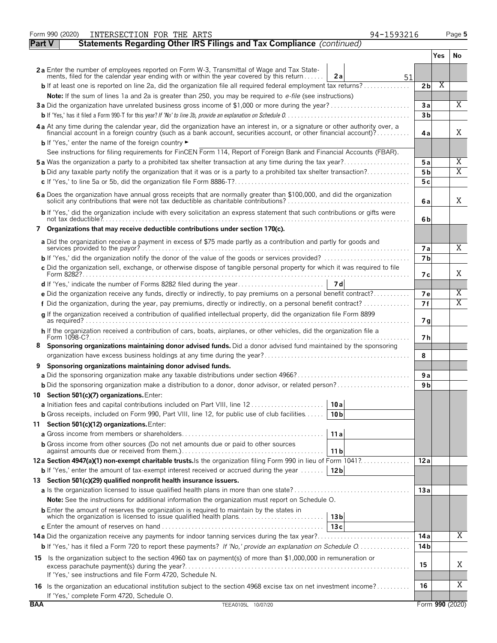|               | INTERSECTION FOR THE ARTS<br>Form 990 (2020)<br>94-1593216                                                                                                                                                                     |                             |      | Page 5                  |
|---------------|--------------------------------------------------------------------------------------------------------------------------------------------------------------------------------------------------------------------------------|-----------------------------|------|-------------------------|
| <b>Part V</b> | Statements Regarding Other IRS Filings and Tax Compliance (continued)                                                                                                                                                          |                             |      |                         |
|               |                                                                                                                                                                                                                                |                             | Yes. | No.                     |
|               | 2a Enter the number of employees reported on Form W-3, Transmittal of Wage and Tax State-<br>ments, filed for the calendar year ending with or within the year covered by this return<br>2a<br>51                              |                             |      |                         |
|               | <b>b</b> If at least one is reported on line 2a, did the organization file all required federal employment tax returns?                                                                                                        | 2 <sub>b</sub>              | Χ    |                         |
|               | Note: If the sum of lines 1a and 2a is greater than 250, you may be required to e-file (see instructions)                                                                                                                      |                             |      |                         |
|               | 3a Did the organization have unrelated business gross income of \$1,000 or more during the year?                                                                                                                               | 3a                          |      | $\overline{X}$          |
|               |                                                                                                                                                                                                                                | 3 <sub>b</sub>              |      |                         |
|               | 4a At any time during the calendar year, did the organization have an interest in, or a signature or other authority over, a financial account in a foreign country (such as a bank account, securities account, or other fina | 4 a                         |      | Χ                       |
|               | <b>b</b> If 'Yes,' enter the name of the foreign country $\blacktriangleright$                                                                                                                                                 |                             |      |                         |
|               | See instructions for filing requirements for FinCEN Form 114, Report of Foreign Bank and Financial Accounts (FBAR).                                                                                                            |                             |      |                         |
|               | <b>5a</b> Was the organization a party to a prohibited tax shelter transaction at any time during the tax year?                                                                                                                | 5a                          |      | Χ                       |
|               | <b>b</b> Did any taxable party notify the organization that it was or is a party to a prohibited tax shelter transaction?                                                                                                      | 5 <sub>b</sub>              |      | $\overline{\mathrm{X}}$ |
|               |                                                                                                                                                                                                                                | 5c                          |      |                         |
|               | 6 a Does the organization have annual gross receipts that are normally greater than \$100,000, and did the organization<br>solicit any contributions that were not tax deductible as charitable contributions?                 | 6 a                         |      | Χ                       |
|               | b If 'Yes,' did the organization include with every solicitation an express statement that such contributions or gifts were                                                                                                    | 6b                          |      |                         |
|               | 7 Organizations that may receive deductible contributions under section 170(c).                                                                                                                                                |                             |      |                         |
|               | a Did the organization receive a payment in excess of \$75 made partly as a contribution and partly for goods and                                                                                                              |                             |      | $\overline{X}$          |
|               | services provided to the payor?<br><b>b</b> If 'Yes,' did the organization notify the donor of the value of the goods or services provided? $\ldots$                                                                           | <b>7a</b><br>7 <sub>b</sub> |      |                         |
|               | c Did the organization sell, exchange, or otherwise dispose of tangible personal property for which it was required to file                                                                                                    |                             |      |                         |
|               |                                                                                                                                                                                                                                | 7 с                         |      | Χ                       |
|               |                                                                                                                                                                                                                                |                             |      |                         |
|               | e Did the organization receive any funds, directly or indirectly, to pay premiums on a personal benefit contract?                                                                                                              | <b>7e</b>                   |      | X                       |
|               | f Did the organization, during the year, pay premiums, directly or indirectly, on a personal benefit contract?                                                                                                                 | 7f                          |      | $\overline{\mathrm{X}}$ |
|               | q If the organization received a contribution of qualified intellectual property, did the organization file Form 8899                                                                                                          | 7 g                         |      |                         |
|               | h If the organization received a contribution of cars, boats, airplanes, or other vehicles, did the organization file a<br>Form 1098-C?.                                                                                       | 7 h                         |      |                         |
| 8             | Sponsoring organizations maintaining donor advised funds. Did a donor advised fund maintained by the sponsoring                                                                                                                |                             |      |                         |
|               |                                                                                                                                                                                                                                | 8                           |      |                         |
| 9             | Sponsoring organizations maintaining donor advised funds.                                                                                                                                                                      |                             |      |                         |
|               |                                                                                                                                                                                                                                | 9а                          |      |                         |
|               | <b>b</b> Did the sponsoring organization make a distribution to a donor, donor advisor, or related person?                                                                                                                     | 9 <sub>b</sub>              |      |                         |
|               | 10 Section 501(c)(7) organizations. Enter:                                                                                                                                                                                     |                             |      |                         |
|               | 10 a                                                                                                                                                                                                                           |                             |      |                         |
|               | <b>b</b> Gross receipts, included on Form 990, Part VIII, line 12, for public use of club facilities<br>10 <sub>b</sub>                                                                                                        |                             |      |                         |
| 11.           | Section 501(c)(12) organizations. Enter:                                                                                                                                                                                       |                             |      |                         |
|               | 11a                                                                                                                                                                                                                            |                             |      |                         |
|               | <b>b</b> Gross income from other sources (Do not net amounts due or paid to other sources<br>11 b                                                                                                                              |                             |      |                         |
|               | 12a Section 4947(a)(1) non-exempt charitable trusts. Is the organization filing Form 990 in lieu of Form 1041?                                                                                                                 | 12a                         |      |                         |
|               | <b>b</b> If 'Yes,' enter the amount of tax-exempt interest received or accrued during the year $\dots \dots$<br>12 <sub>b</sub>                                                                                                |                             |      |                         |
|               | 13 Section 501(c)(29) qualified nonprofit health insurance issuers.                                                                                                                                                            |                             |      |                         |
|               |                                                                                                                                                                                                                                | 13 a                        |      |                         |
|               | <b>Note:</b> See the instructions for additional information the organization must report on Schedule O.                                                                                                                       |                             |      |                         |
|               | <b>b</b> Enter the amount of reserves the organization is required to maintain by the states in<br>13 <sub>b</sub>                                                                                                             |                             |      |                         |
|               | 13c                                                                                                                                                                                                                            |                             |      |                         |
|               | <b>14a</b> Did the organization receive any payments for indoor tanning services during the tax year?                                                                                                                          | 14 a                        |      | $\overline{X}$          |
|               | <b>b</b> If 'Yes,' has it filed a Form 720 to report these payments? If 'No,' provide an explanation on Schedule O                                                                                                             | 14 <sub>b</sub>             |      |                         |
|               | 15 Is the organization subject to the section 4960 tax on payment(s) of more than \$1,000,000 in remuneration or<br>excess parachute payment(s) during the year?                                                               | 15                          |      | Χ                       |
|               | If 'Yes,' see instructions and file Form 4720, Schedule N.                                                                                                                                                                     |                             |      | Χ                       |
|               | <b>16</b> Is the organization an educational institution subject to the section 4968 excise tax on net investment income?<br>If 'Yes,' complete Form 4720, Schedule O.                                                         | 16                          |      |                         |
| BAA           | TEEA0105L 10/07/20                                                                                                                                                                                                             |                             |      | Form 990 (2020)         |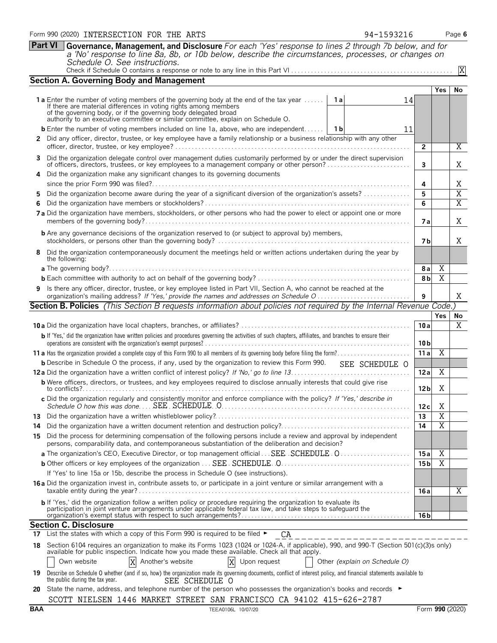|  | Form 990 (2020) |
|--|-----------------|

| INTERSECTION FOR THE ARTS<br>Form 990 (2020) <b>I</b> | 1593216<br>94– | Page 6 |
|-------------------------------------------------------|----------------|--------|
|                                                       |                |        |

**Part VI Governance, Management, and Disclosure** *For each 'Yes' response to lines 2 through 7b below, and for a 'No' response to line 8a, 8b, or 10b below, describe the circumstances, processes, or changes on Schedule O. See instructions.* Check if Schedule O contains a response or note to any line in this Part VI . . . . . . . . . . . . . . . . . . . . . . . . . . . . . . . . . . . . . . . . . . . . . . . . .

|                                                                                         | Section A. Governing Body and Management                                                                                                                                                                                                   |                 |                |                       |  |  |
|-----------------------------------------------------------------------------------------|--------------------------------------------------------------------------------------------------------------------------------------------------------------------------------------------------------------------------------------------|-----------------|----------------|-----------------------|--|--|
|                                                                                         |                                                                                                                                                                                                                                            |                 | Yes            | No                    |  |  |
|                                                                                         | <b>1a</b> Enter the number of voting members of the governing body at the end of the tax year<br>1а<br>14                                                                                                                                  |                 |                |                       |  |  |
|                                                                                         | If there are material differences in voting rights among members<br>of the governing body, or if the governing body delegated broad authority to an executive committee or similar committee, explain on Schedule O.                       |                 |                |                       |  |  |
|                                                                                         |                                                                                                                                                                                                                                            |                 |                |                       |  |  |
|                                                                                         | <b>b</b> Enter the number of voting members included on line 1a, above, who are independent<br>- 1 bl<br>11                                                                                                                                |                 |                |                       |  |  |
|                                                                                         | 2 Did any officer, director, trustee, or key employee have a family relationship or a business relationship with any other                                                                                                                 | $\mathbf{2}$    |                | Χ                     |  |  |
|                                                                                         | 3 Did the organization delegate control over management duties customarily performed by or under the direct supervision                                                                                                                    |                 |                |                       |  |  |
|                                                                                         | of officers, directors, trustees, or key employees to a management company or other person?                                                                                                                                                | 3               |                | Χ                     |  |  |
|                                                                                         | Did the organization make any significant changes to its governing documents<br>4                                                                                                                                                          |                 |                |                       |  |  |
|                                                                                         |                                                                                                                                                                                                                                            | 4               |                | Χ                     |  |  |
| 5.                                                                                      | Did the organization become aware during the year of a significant diversion of the organization's assets?                                                                                                                                 | 5               |                | $\overline{X}$        |  |  |
| 6                                                                                       |                                                                                                                                                                                                                                            | 6               |                | $\overline{\text{X}}$ |  |  |
|                                                                                         | 7a Did the organization have members, stockholders, or other persons who had the power to elect or appoint one or more                                                                                                                     |                 |                |                       |  |  |
|                                                                                         |                                                                                                                                                                                                                                            | 7 a             |                | Χ                     |  |  |
|                                                                                         | <b>b</b> Are any governance decisions of the organization reserved to (or subject to approval by) members,                                                                                                                                 | 7 b             |                | X                     |  |  |
|                                                                                         | 8 Did the organization contemporaneously document the meetings held or written actions undertaken during the year by                                                                                                                       |                 |                |                       |  |  |
|                                                                                         | the following:                                                                                                                                                                                                                             |                 |                |                       |  |  |
|                                                                                         |                                                                                                                                                                                                                                            | 8 a             | X              |                       |  |  |
|                                                                                         |                                                                                                                                                                                                                                            | 8 <sub>b</sub>  | X              |                       |  |  |
|                                                                                         | 9 Is there any officer, director, trustee, or key employee listed in Part VII, Section A, who cannot be reached at the                                                                                                                     | 9               |                | Χ                     |  |  |
| organization's mailing address? If 'Yes,' provide the names and addresses on Schedule O |                                                                                                                                                                                                                                            |                 |                |                       |  |  |
|                                                                                         | Section B. Policies (This Section B requests information about policies not required by the Internal Revenue Code.)                                                                                                                        |                 |                |                       |  |  |
|                                                                                         |                                                                                                                                                                                                                                            | 10a             | <b>Yes</b>     | No<br>X               |  |  |
|                                                                                         | b If 'Yes,' did the organization have written policies and procedures governing the activities of such chapters, affiliates, and branches to ensure their                                                                                  |                 |                |                       |  |  |
|                                                                                         |                                                                                                                                                                                                                                            | 10 <sub>b</sub> |                |                       |  |  |
|                                                                                         |                                                                                                                                                                                                                                            | 11a             | $\overline{X}$ |                       |  |  |
|                                                                                         | <b>b</b> Describe in Schedule O the process, if any, used by the organization to review this Form 990.<br>SEE SCHEDULE O                                                                                                                   |                 |                |                       |  |  |
|                                                                                         |                                                                                                                                                                                                                                            | 12a             | X              |                       |  |  |
|                                                                                         | <b>b</b> Were officers, directors, or trustees, and key employees required to disclose annually interests that could give rise                                                                                                             | 12 <sub>b</sub> | Χ              |                       |  |  |
|                                                                                         | c Did the organization regularly and consistently monitor and enforce compliance with the policy? If 'Yes,' describe in                                                                                                                    | 12c             | Χ              |                       |  |  |
|                                                                                         |                                                                                                                                                                                                                                            | 13              | $\overline{X}$ |                       |  |  |
| 14                                                                                      |                                                                                                                                                                                                                                            | 14              | $\overline{X}$ |                       |  |  |
| 15                                                                                      | Did the process for determining compensation of the following persons include a review and approval by independent<br>persons, comparability data, and contemporaneous substantiation of the deliberation and decision?                    |                 |                |                       |  |  |
|                                                                                         | a The organization's CEO, Executive Director, or top management official SEE SCHEDULE 0                                                                                                                                                    | 15 a            | Χ              |                       |  |  |
|                                                                                         |                                                                                                                                                                                                                                            | 15 b            | Χ              |                       |  |  |
|                                                                                         | If 'Yes' to line 15a or 15b, describe the process in Schedule O (see instructions).                                                                                                                                                        |                 |                |                       |  |  |
|                                                                                         | 16 a Did the organization invest in, contribute assets to, or participate in a joint venture or similar arrangement with a                                                                                                                 | 16 a            |                | Χ                     |  |  |
|                                                                                         | <b>b</b> If 'Yes,' did the organization follow a written policy or procedure requiring the organization to evaluate its<br>participation in joint venture arrangements under applicable federal tax law, and take steps to safeguard the   |                 |                |                       |  |  |
|                                                                                         |                                                                                                                                                                                                                                            | 16 <sub>b</sub> |                |                       |  |  |
|                                                                                         | <b>Section C. Disclosure</b>                                                                                                                                                                                                               |                 |                |                       |  |  |
|                                                                                         | 17 List the states with which a copy of this Form 990 is required to be filed $\blacktriangleright$<br>CA                                                                                                                                  |                 |                |                       |  |  |
|                                                                                         | 18 Section 6104 requires an organization to make its Forms 1023 (1024 or 1024-A, if applicable), 990, and 990-T (Section 501(c)(3)s only)<br>available for public inspection. Indicate how you made these available. Check all that apply. |                 |                |                       |  |  |
|                                                                                         | Another's website<br>X<br>Upon request<br>Other (explain on Schedule O)<br>Own website                                                                                                                                                     |                 |                |                       |  |  |
|                                                                                         | 19 Describe on Schedule O whether (and if so, how) the organization made its governing documents, conflict of interest policy, and financial statements available to                                                                       |                 |                |                       |  |  |
|                                                                                         | the public during the tax year.<br>SEE SCHEDULE O<br>20 State the name address and telephone number of the person who possesses the organization's books and records                                                                       |                 |                |                       |  |  |

**20** State the name, address, and telephone number of the person who possesses the organization's books and records ► SCOTT NIELSEN 1446 MARKET STREET SAN FRANCISCO CA 94102 415-626-2787

X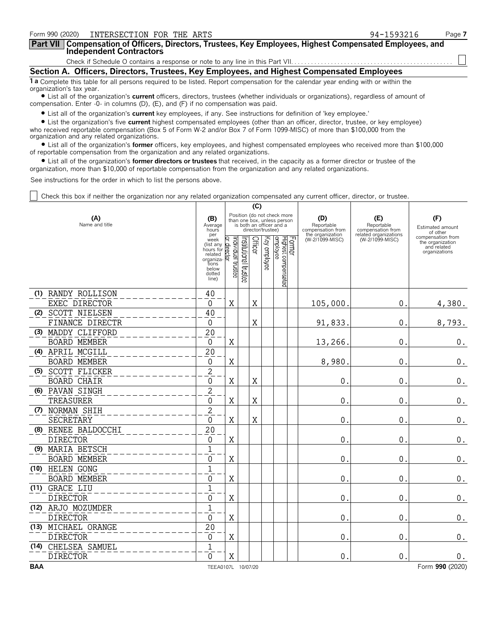| Form 990 (2020) INTERSECTION FOR THE ARTS                                                                                                                                                                                                  | 94-1593216 | Page 7 |
|--------------------------------------------------------------------------------------------------------------------------------------------------------------------------------------------------------------------------------------------|------------|--------|
| Part VII   Compensation of Officers, Directors, Trustees, Key Employees, Highest Compensated Employees, and<br><b>Independent Contractors</b>                                                                                              |            |        |
|                                                                                                                                                                                                                                            |            |        |
| Section A. Officers, Directors, Trustees, Key Employees, and Highest Compensated Employees                                                                                                                                                 |            |        |
| 1 a Complete this table for all persons required to be listed. Report compensation for the calendar year ending with or within the<br>organization's tax year.                                                                             |            |        |
| • List all of the organization's <b>current</b> officers, directors, trustees (whether individuals or organizations), regardless of amount of<br>compensation. Enter -0- in columns $(D)$ , $(E)$ , and $(F)$ if no compensation was paid. |            |        |
|                                                                                                                                                                                                                                            |            |        |

? List all of the organization's **current** key employees, if any. See instructions for definition of 'key employee.'

? List the organization's five **current** highest compensated employees (other than an officer, director, trustee, or key employee) who received reportable compensation (Box 5 of Form W-2 and/or Box 7 of Form 1099-MISC) of more than \$100,000 from the organization and any related organizations.

? List all of the organization's **former** officers, key employees, and highest compensated employees who received more than \$100,000 of reportable compensation from the organization and any related organizations.

? List all of the organization's **former directors or trustees** that received, in the capacity as a former director or trustee of the organization, more than \$10,000 of reportable compensation from the organization and any related organizations.

See instructions for the order in which to list the persons above.

Check this box if neither the organization nor any related organization compensated any current officer, director, or trustee.

|            |                       |                                                                                             |                              |                       | (C)                                                                                                                                                                       |              |                                                                 |                                     |                 |                 |                                                                       |
|------------|-----------------------|---------------------------------------------------------------------------------------------|------------------------------|-----------------------|---------------------------------------------------------------------------------------------------------------------------------------------------------------------------|--------------|-----------------------------------------------------------------|-------------------------------------|-----------------|-----------------|-----------------------------------------------------------------------|
|            | (A)<br>Name and title | (B)<br>Average<br>hours<br>per                                                              |                              |                       | Position (do not check more<br>(D)<br>than one box, unless person<br>Reportable<br>is both an officer and a<br>director/trustee)<br>compensation from<br>the organization |              | (E)<br>Reportable<br>compensation from<br>related organizations | (F)<br>Estimated amount<br>of other |                 |                 |                                                                       |
|            |                       | week<br>(list any<br>hours for<br>related<br>organiza-<br>tions<br>below<br>dotted<br>line) | pajsnų jenovibuj<br>director | Institutional trustee | Officer                                                                                                                                                                   | Key employee | Highest compensated<br>employee                                 | Former                              | (W-2/1099-MISC) | (W-2/1099-MISC) | compensation from<br>the organization<br>and related<br>organizations |
|            | (1) RANDY ROLLISON    | 40                                                                                          |                              |                       |                                                                                                                                                                           |              |                                                                 |                                     |                 |                 |                                                                       |
|            | EXEC DIRECTOR         | 0                                                                                           | X                            |                       | $\rm X$                                                                                                                                                                   |              |                                                                 |                                     | 105,000         | $0$ .           | 4,380.                                                                |
|            | (2) SCOTT NIELSEN     | 40                                                                                          |                              |                       |                                                                                                                                                                           |              |                                                                 |                                     |                 |                 |                                                                       |
|            | FINANCE DIRECTR       | 0                                                                                           |                              |                       | Χ                                                                                                                                                                         |              |                                                                 |                                     | 91,833          | 0.              | 8,793.                                                                |
|            | (3) MADDY CLIFFORD    | 20                                                                                          |                              |                       |                                                                                                                                                                           |              |                                                                 |                                     |                 |                 |                                                                       |
|            | <b>BOARD MEMBER</b>   | 0                                                                                           | $\mathbf X$                  |                       |                                                                                                                                                                           |              |                                                                 |                                     | 13,266          | $\mathbf 0$     | $\boldsymbol{0}$ .                                                    |
|            | (4) APRIL MCGILL      | 20                                                                                          |                              |                       |                                                                                                                                                                           |              |                                                                 |                                     |                 |                 |                                                                       |
|            | <b>BOARD MEMBER</b>   | 0                                                                                           | $\mathbf X$                  |                       |                                                                                                                                                                           |              |                                                                 |                                     | 8,980           | 0               | $\boldsymbol{0}$ .                                                    |
|            | (5) SCOTT FLICKER     | $\overline{c}$                                                                              |                              |                       |                                                                                                                                                                           |              |                                                                 |                                     |                 |                 |                                                                       |
|            | <b>BOARD CHAIR</b>    | 0                                                                                           | X                            |                       | X                                                                                                                                                                         |              |                                                                 |                                     | 0               | 0               | $\boldsymbol{0}$ .                                                    |
|            | (6) PAVAN SINGH       | $\overline{2}$                                                                              |                              |                       |                                                                                                                                                                           |              |                                                                 |                                     |                 |                 |                                                                       |
|            | TREASURER             | 0                                                                                           | X                            |                       | X                                                                                                                                                                         |              |                                                                 |                                     | 0               | 0               | $\boldsymbol{0}$ .                                                    |
|            | (7) NORMAN SHIH       | $\overline{2}$                                                                              |                              |                       |                                                                                                                                                                           |              |                                                                 |                                     |                 |                 |                                                                       |
|            | SECRETARY             | 0                                                                                           | Χ                            |                       | X                                                                                                                                                                         |              |                                                                 |                                     | 0               | 0               | $\boldsymbol{0}$ .                                                    |
|            | (8) RENEE BALDOCCHI   | 20                                                                                          |                              |                       |                                                                                                                                                                           |              |                                                                 |                                     |                 |                 |                                                                       |
|            | <b>DIRECTOR</b>       | 0                                                                                           | X                            |                       |                                                                                                                                                                           |              |                                                                 |                                     | 0               | 0               | $\boldsymbol{0}$ .                                                    |
|            | (9) MARIA BETSCH      | $\mathbf{1}$                                                                                |                              |                       |                                                                                                                                                                           |              |                                                                 |                                     |                 |                 |                                                                       |
|            | <b>BOARD MEMBER</b>   | 0                                                                                           | X                            |                       |                                                                                                                                                                           |              |                                                                 |                                     | 0               | $\overline{0}$  | $\mathbf 0$ .                                                         |
|            | (10) HELEN GONG       | $\overline{1}$                                                                              |                              |                       |                                                                                                                                                                           |              |                                                                 |                                     |                 |                 |                                                                       |
|            | <b>BOARD MEMBER</b>   | 0                                                                                           | Χ                            |                       |                                                                                                                                                                           |              |                                                                 |                                     | 0               | 0               | $\boldsymbol{0}$ .                                                    |
|            | (11) GRACE LIU        | $\mathbf 1$                                                                                 |                              |                       |                                                                                                                                                                           |              |                                                                 |                                     |                 |                 |                                                                       |
|            | <b>DIRECTOR</b>       | 0                                                                                           | Χ                            |                       |                                                                                                                                                                           |              |                                                                 |                                     | 0               | 0               | $\mathbf 0$ .                                                         |
|            | (12) ARJO MOZUMDER    | $\mathbf 1$                                                                                 |                              |                       |                                                                                                                                                                           |              |                                                                 |                                     |                 |                 |                                                                       |
|            | <b>DIRECTOR</b>       | 0                                                                                           | X                            |                       |                                                                                                                                                                           |              |                                                                 |                                     | 0               | 0               | $\boldsymbol{0}$ .                                                    |
|            | (13) MICHAEL ORANGE   | 20                                                                                          |                              |                       |                                                                                                                                                                           |              |                                                                 |                                     |                 |                 |                                                                       |
|            | <b>DIRECTOR</b>       | 0                                                                                           | Χ                            |                       |                                                                                                                                                                           |              |                                                                 |                                     | 0               | 0               | 0.                                                                    |
|            | (14) CHELSEA SAMUEL   | $\mathbf 1$                                                                                 |                              |                       |                                                                                                                                                                           |              |                                                                 |                                     |                 |                 |                                                                       |
|            | <b>DIRECTOR</b>       | 0                                                                                           | X                            |                       |                                                                                                                                                                           |              |                                                                 |                                     | 0               | $\mathbf 0$     | 0.                                                                    |
| <b>BAA</b> |                       | TEEA0107L 10/07/20                                                                          |                              |                       |                                                                                                                                                                           |              |                                                                 |                                     |                 |                 | Form 990 (2020)                                                       |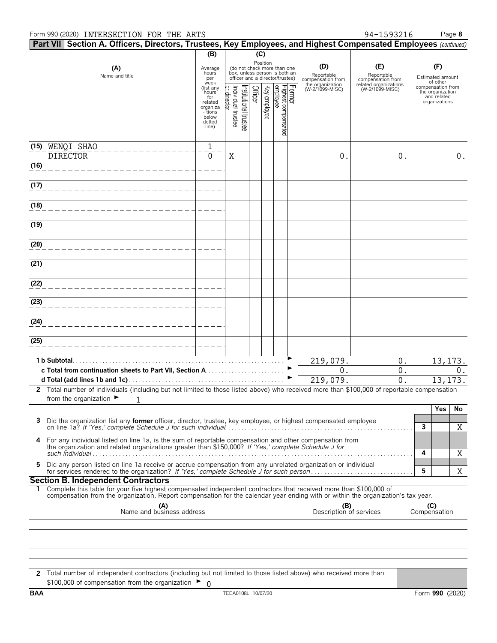|      | <b>Part VII Section A. Officers, Directors, Trustees, Key Employees, and Highest Compensated Employees</b> (continued)                                                                                                                                 |                                                           |                   |                      |         |              |                                                                                                 |        |                                        |                                          |              |                                                                                   |       |
|------|--------------------------------------------------------------------------------------------------------------------------------------------------------------------------------------------------------------------------------------------------------|-----------------------------------------------------------|-------------------|----------------------|---------|--------------|-------------------------------------------------------------------------------------------------|--------|----------------------------------------|------------------------------------------|--------------|-----------------------------------------------------------------------------------|-------|
|      |                                                                                                                                                                                                                                                        | (B)                                                       |                   |                      | (C)     |              |                                                                                                 |        |                                        |                                          |              |                                                                                   |       |
|      | (A)<br>Name and title                                                                                                                                                                                                                                  | Average<br>hours<br>per                                   |                   |                      |         | Position     | (do not check more than one<br>box, unless person is both an<br>officer and a director/trustee) |        | (D)<br>Reportable<br>compensation from | (E)<br>Reportable<br>compensation from   |              | (F)<br>Estimated amount                                                           |       |
|      |                                                                                                                                                                                                                                                        | week<br>(list any<br>hours <sup>7</sup><br>for<br>related | or director       |                      | Officer | Key employee |                                                                                                 | Former | the organization<br>(W-2/1099-MISC)    | related organizations<br>(W-2/1099-MISC) |              | of other<br>compensation from<br>the organization<br>and related<br>organizations |       |
|      |                                                                                                                                                                                                                                                        | organiza<br>- tions<br>below<br>dotted<br>line)           | ndividual trustee | nstitutional trustee |         |              | Highest compensated<br>employee                                                                 |        |                                        |                                          |              |                                                                                   |       |
|      | (15) WENQI SHAO                                                                                                                                                                                                                                        | $\mathbf{1}$                                              |                   |                      |         |              |                                                                                                 |        |                                        |                                          |              |                                                                                   |       |
| (16) | <b>DIRECTOR</b>                                                                                                                                                                                                                                        | 0                                                         | Χ                 |                      |         |              |                                                                                                 |        | 0.                                     | 0.                                       |              |                                                                                   | $0$ . |
| (17) |                                                                                                                                                                                                                                                        |                                                           |                   |                      |         |              |                                                                                                 |        |                                        |                                          |              |                                                                                   |       |
| (18) |                                                                                                                                                                                                                                                        |                                                           |                   |                      |         |              |                                                                                                 |        |                                        |                                          |              |                                                                                   |       |
| (19) |                                                                                                                                                                                                                                                        |                                                           |                   |                      |         |              |                                                                                                 |        |                                        |                                          |              |                                                                                   |       |
|      |                                                                                                                                                                                                                                                        |                                                           |                   |                      |         |              |                                                                                                 |        |                                        |                                          |              |                                                                                   |       |
| (20) |                                                                                                                                                                                                                                                        |                                                           |                   |                      |         |              |                                                                                                 |        |                                        |                                          |              |                                                                                   |       |
| (21) |                                                                                                                                                                                                                                                        |                                                           |                   |                      |         |              |                                                                                                 |        |                                        |                                          |              |                                                                                   |       |
| (22) |                                                                                                                                                                                                                                                        |                                                           |                   |                      |         |              |                                                                                                 |        |                                        |                                          |              |                                                                                   |       |
| (23) |                                                                                                                                                                                                                                                        |                                                           |                   |                      |         |              |                                                                                                 |        |                                        |                                          |              |                                                                                   |       |
| (24) |                                                                                                                                                                                                                                                        |                                                           |                   |                      |         |              |                                                                                                 |        |                                        |                                          |              |                                                                                   |       |
| (25) |                                                                                                                                                                                                                                                        |                                                           |                   |                      |         |              |                                                                                                 |        |                                        |                                          |              |                                                                                   |       |
|      | 1 b Subtotal                                                                                                                                                                                                                                           |                                                           |                   |                      |         |              |                                                                                                 |        | 219,079.                               | 0.                                       |              | 13, 173.                                                                          |       |
|      | c Total from continuation sheets to Part VII, Section A                                                                                                                                                                                                |                                                           |                   |                      |         |              |                                                                                                 |        | $0$ .                                  | 0.                                       |              |                                                                                   | $0$ . |
|      | 2 Total number of individuals (including but not limited to those listed above) who received more than \$100,000 of reportable compensation                                                                                                            |                                                           |                   |                      |         |              |                                                                                                 |        | 219,079.                               | 0.                                       |              | 13, 173.                                                                          |       |
|      | from the organization $\blacktriangleright$                                                                                                                                                                                                            |                                                           |                   |                      |         |              |                                                                                                 |        |                                        |                                          |              |                                                                                   |       |
| 3    | Did the organization list any <b>former</b> officer, director, trustee, key employee, or highest compensated employee                                                                                                                                  |                                                           |                   |                      |         |              |                                                                                                 |        |                                        |                                          | $\mathbf{3}$ | Yes                                                                               | No    |
| 4    | For any individual listed on line 1a, is the sum of reportable compensation and other compensation from                                                                                                                                                |                                                           |                   |                      |         |              |                                                                                                 |        |                                        |                                          |              |                                                                                   | X     |
| 5    | the organization and related organizations greater than \$150,000? If 'Yes,' complete Schedule J for<br>Did any person listed on line 1a receive or accrue compensation from any unrelated organization or individual                                  |                                                           |                   |                      |         |              |                                                                                                 |        |                                        |                                          | 4            |                                                                                   | Χ     |
|      |                                                                                                                                                                                                                                                        |                                                           |                   |                      |         |              |                                                                                                 |        |                                        |                                          | 5            |                                                                                   | X     |
|      | <b>Section B. Independent Contractors</b>                                                                                                                                                                                                              |                                                           |                   |                      |         |              |                                                                                                 |        |                                        |                                          |              |                                                                                   |       |
|      | Complete this table for your five highest compensated independent contractors that received more than \$100,000 of<br>compensation from the organization. Report compensation for the calendar year ending with or within the organization's tax year. |                                                           |                   |                      |         |              |                                                                                                 |        |                                        |                                          |              |                                                                                   |       |
|      | (A)<br>Name and business address                                                                                                                                                                                                                       |                                                           |                   |                      |         |              | (B)<br>Description of services                                                                  |        | Compensation                           | (C)                                      |              |                                                                                   |       |
|      |                                                                                                                                                                                                                                                        |                                                           |                   |                      |         |              |                                                                                                 |        |                                        |                                          |              |                                                                                   |       |
|      |                                                                                                                                                                                                                                                        |                                                           |                   |                      |         |              |                                                                                                 |        |                                        |                                          |              |                                                                                   |       |
|      |                                                                                                                                                                                                                                                        |                                                           |                   |                      |         |              |                                                                                                 |        |                                        |                                          |              |                                                                                   |       |
|      | 2 Total number of independent contractors (including but not limited to those listed above) who received more than                                                                                                                                     |                                                           |                   |                      |         |              |                                                                                                 |        |                                        |                                          |              |                                                                                   |       |
|      | \$100,000 of compensation from the organization $\triangleright$ 0                                                                                                                                                                                     |                                                           |                   |                      |         |              |                                                                                                 |        |                                        |                                          |              |                                                                                   |       |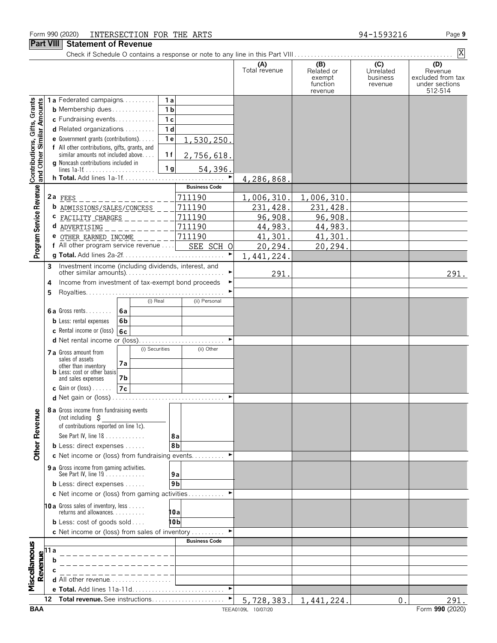### Form 990 (2020) Page **9** INTERSECTION FOR THE ARTS 94-1593216

# **Part VIII Statement of Revenue**

|                                                           |                                |                                                                                     |                  |                       |                      |                                                    |                                         | X                                                                |
|-----------------------------------------------------------|--------------------------------|-------------------------------------------------------------------------------------|------------------|-----------------------|----------------------|----------------------------------------------------|-----------------------------------------|------------------------------------------------------------------|
|                                                           |                                |                                                                                     |                  |                       | (A)<br>Total revenue | (B)<br>Related or<br>exempt<br>function<br>revenue | (C)<br>Unrelated<br>business<br>revenue | (D)<br>Revenue<br>excluded from tax<br>under sections<br>512-514 |
|                                                           |                                | 1a Federated campaigns                                                              | 1a               |                       |                      |                                                    |                                         |                                                                  |
|                                                           |                                | <b>b</b> Membership dues                                                            | 1 <sub>b</sub>   |                       |                      |                                                    |                                         |                                                                  |
|                                                           |                                | $c$ Fundraising events                                                              | $\overline{1}$ c |                       |                      |                                                    |                                         |                                                                  |
|                                                           |                                | d Related organizations                                                             | 1 <sub>d</sub>   |                       |                      |                                                    |                                         |                                                                  |
|                                                           |                                | <b>e</b> Government grants (contributions). $\ldots$                                | 1 <sub>e</sub>   | 1,530,250.            |                      |                                                    |                                         |                                                                  |
| Contributions, Gifts, Grants<br>and Other Similar Amounts |                                | f All other contributions, gifts, grants, and<br>similar amounts not included above | 1f               | 2,756,618.            |                      |                                                    |                                         |                                                                  |
|                                                           |                                | g Noncash contributions included in                                                 | 1 <sub>g</sub>   | 54,396.               |                      |                                                    |                                         |                                                                  |
|                                                           |                                |                                                                                     |                  | ▶                     | <u>4,286,868.</u>    |                                                    |                                         |                                                                  |
|                                                           |                                |                                                                                     |                  | <b>Business Code</b>  |                      |                                                    |                                         |                                                                  |
| Program Service Revenue                                   |                                | 2a FEES<br>_ _ _ _ _ _ _ _ _                                                        |                  | 711190                | 1,006,310.           | 1,006,310.                                         |                                         |                                                                  |
|                                                           |                                | <b>b</b> ADMISSIONS/SALES/CONCESS ___                                               |                  | 711190                | 231,428              | 231, 428.                                          |                                         |                                                                  |
|                                                           |                                | C FACILITY CHARGES $      -$                                                        |                  | 711190                | 96,908               | 96,908.                                            |                                         |                                                                  |
|                                                           | d                              | $ADVERTISING$ _ _ _ _ _ _ _ _ _ _ _                                                 |                  | 711190                | 44,983.              | 44,983.                                            |                                         |                                                                  |
|                                                           |                                | $\frac{e \text{ OTHER EARNING INCOME}}{1.11190}$                                    |                  |                       | 41,301               | 41,301.                                            |                                         |                                                                  |
|                                                           |                                | f All other program service revenue    SEE SCH O                                    |                  |                       | 20,294.              | 20,294.                                            |                                         |                                                                  |
|                                                           |                                |                                                                                     |                  | $\blacktriangleright$ | 1,441,224.           |                                                    |                                         |                                                                  |
|                                                           | 3                              | Investment income (including dividends, interest, and                               |                  | ▶                     | 291.                 |                                                    |                                         | 291.                                                             |
|                                                           | 4                              | Income from investment of tax-exempt bond proceeds                                  |                  | ▶                     |                      |                                                    |                                         |                                                                  |
|                                                           | 5                              |                                                                                     |                  | ▶                     |                      |                                                    |                                         |                                                                  |
|                                                           |                                |                                                                                     | (i) Real         | (ii) Personal         |                      |                                                    |                                         |                                                                  |
|                                                           |                                | <b>6a</b> Gross rents<br>6a                                                         |                  |                       |                      |                                                    |                                         |                                                                  |
|                                                           |                                | 6 <sub>b</sub><br><b>b</b> Less: rental expenses                                    |                  |                       |                      |                                                    |                                         |                                                                  |
|                                                           |                                | c Rental income or (loss)<br>6c                                                     |                  |                       |                      |                                                    |                                         |                                                                  |
|                                                           |                                |                                                                                     |                  |                       |                      |                                                    |                                         |                                                                  |
|                                                           |                                | 7 a Gross amount from                                                               | (i) Securities   | (ii) Other            |                      |                                                    |                                         |                                                                  |
|                                                           |                                | sales of assets<br>7a<br>other than inventory                                       |                  |                       |                      |                                                    |                                         |                                                                  |
|                                                           |                                | <b>b</b> Less: cost or other basis                                                  |                  |                       |                      |                                                    |                                         |                                                                  |
|                                                           |                                | 7b<br>and sales expenses<br><b>c</b> Gain or (loss) $\ldots$ .<br>7c                |                  |                       |                      |                                                    |                                         |                                                                  |
|                                                           |                                |                                                                                     |                  |                       |                      |                                                    |                                         |                                                                  |
|                                                           |                                |                                                                                     |                  |                       |                      |                                                    |                                         |                                                                  |
| et v                                                      |                                | 8 a Gross income from fundraising events<br>(not including $\zeta$                  |                  |                       |                      |                                                    |                                         |                                                                  |
|                                                           |                                | of contributions reported on line 1c).                                              |                  |                       |                      |                                                    |                                         |                                                                  |
|                                                           |                                | See Part IV, line 18                                                                | 8а               |                       |                      |                                                    |                                         |                                                                  |
| <b>Other Revenue</b>                                      |                                | <b>b</b> Less: direct expenses $\ldots$                                             | 8b               |                       |                      |                                                    |                                         |                                                                  |
|                                                           |                                | c Net income or (loss) from fundraising events                                      |                  |                       |                      |                                                    |                                         |                                                                  |
|                                                           |                                | 9 a Gross income from gaming activities.<br>See Part IV, line 19                    | 9a               |                       |                      |                                                    |                                         |                                                                  |
|                                                           |                                | <b>b</b> Less: direct expenses $\ldots$ .                                           | 9 <sub>b</sub>   |                       |                      |                                                    |                                         |                                                                  |
|                                                           |                                | c Net income or (loss) from gaming activities                                       |                  |                       |                      |                                                    |                                         |                                                                  |
|                                                           |                                | <b>10 a</b> Gross sales of inventory, less                                          |                  |                       |                      |                                                    |                                         |                                                                  |
|                                                           |                                | returns and allowances                                                              | 10a              |                       |                      |                                                    |                                         |                                                                  |
|                                                           |                                | <b>b</b> Less: $cost$ of goods $solid \dots$                                        | 10b              |                       |                      |                                                    |                                         |                                                                  |
|                                                           |                                | c Net income or (loss) from sales of inventory                                      |                  |                       |                      |                                                    |                                         |                                                                  |
|                                                           |                                |                                                                                     |                  | <b>Business Code</b>  |                      |                                                    |                                         |                                                                  |
|                                                           |                                |                                                                                     |                  |                       |                      |                                                    |                                         |                                                                  |
|                                                           |                                |                                                                                     |                  |                       |                      |                                                    |                                         |                                                                  |
|                                                           | Revenue<br>$\alpha$ b $\alpha$ |                                                                                     |                  |                       |                      |                                                    |                                         |                                                                  |
| Miscellaneous                                             |                                | e Total. Add lines 11a-11d                                                          |                  | $\blacktriangleright$ |                      |                                                    |                                         |                                                                  |
|                                                           | 12                             | Total revenue. See instructions                                                     |                  | r                     | 5,728,383.           | 1,441,224.                                         | $\mathbf 0$ .                           | 291.                                                             |
|                                                           |                                |                                                                                     |                  |                       |                      |                                                    |                                         |                                                                  |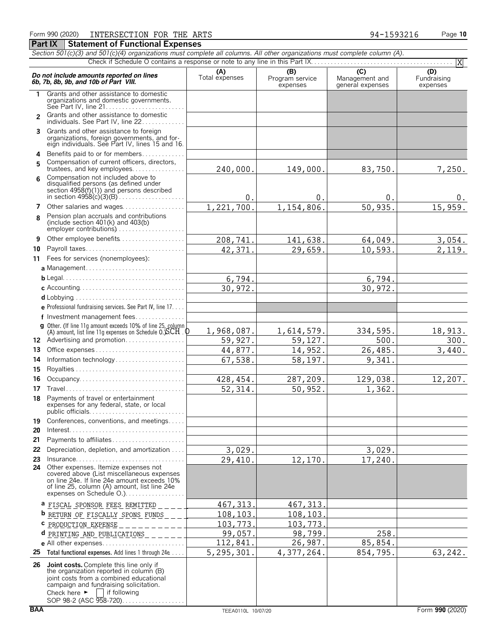| 5        | Compensation of current officers, directors,<br>trustees, and key employees                                                                                                                                                                                                                   | 240,000.                 | 149,000.   | 83,750.  | 7,250.          |
|----------|-----------------------------------------------------------------------------------------------------------------------------------------------------------------------------------------------------------------------------------------------------------------------------------------------|--------------------------|------------|----------|-----------------|
| 6        | Compensation not included above to<br>disqualified persons (as defined under<br>section $4958(f)(1)$ and persons described<br>in section $4958(c)(3)(B)$                                                                                                                                      | 0.                       | 0.         | 0.       | 0.              |
| 7        | Other salaries and wages                                                                                                                                                                                                                                                                      | $\overline{1,221,700}$ . | 1,154,806. | 50,935.  | 15,959.         |
| 8        | Pension plan accruals and contributions<br>(include section $401(k)$ and $403(b)$<br>employer contributions)                                                                                                                                                                                  |                          |            |          |                 |
| 9        | Other employee benefits                                                                                                                                                                                                                                                                       | 208,741.                 | 141,638.   | 64,049.  | 3,054.          |
| 10       | Payroll taxes                                                                                                                                                                                                                                                                                 | 42,371.                  | 29,659.    | 10,593.  | 2,119.          |
|          | 11 Fees for services (nonemployees):                                                                                                                                                                                                                                                          |                          |            |          |                 |
|          |                                                                                                                                                                                                                                                                                               |                          |            |          |                 |
|          |                                                                                                                                                                                                                                                                                               | 6,794.                   |            | 6,794.   |                 |
|          |                                                                                                                                                                                                                                                                                               | 30,972.                  |            | 30,972.  |                 |
|          |                                                                                                                                                                                                                                                                                               |                          |            |          |                 |
|          | e Professional fundraising services. See Part IV, line 17.                                                                                                                                                                                                                                    |                          |            |          |                 |
|          | f Investment management fees                                                                                                                                                                                                                                                                  |                          |            |          |                 |
|          | g Other. (If line 11g amount exceeds 10% of line 25, column<br>(A) amount, list line 11g expenses on Schedule $0.$ SCH $\Phi$                                                                                                                                                                 | 1,968,087.               | 1,614,579. | 334,595. | 18,913.         |
|          | 12 Advertising and promotion                                                                                                                                                                                                                                                                  | 59,927.                  | 59,127.    | 500.     | 300.            |
| 13       | Office expenses                                                                                                                                                                                                                                                                               | 44,877.                  | 14,952.    | 26,485.  | 3,440.          |
| 14       | Information technology                                                                                                                                                                                                                                                                        | 67,538.                  | 58, 197.   | 9,341.   |                 |
| 15       |                                                                                                                                                                                                                                                                                               |                          |            |          |                 |
| 16       | Occupancy                                                                                                                                                                                                                                                                                     | 428, 454.                | 287,209.   | 129,038. | 12,207.         |
| 17       |                                                                                                                                                                                                                                                                                               | 52,314.                  | 50,952.    | 1,362.   |                 |
| 18       | Payments of travel or entertainment<br>expenses for any federal, state, or local                                                                                                                                                                                                              |                          |            |          |                 |
| 19       | Conferences, conventions, and meetings                                                                                                                                                                                                                                                        |                          |            |          |                 |
| 20       | $Interest. \ldots \ldots \ldots \ldots \ldots \ldots \ldots \ldots \ldots \ldots \ldots \ldots \ldots$                                                                                                                                                                                        |                          |            |          |                 |
| 21       | Payments to affiliates                                                                                                                                                                                                                                                                        |                          |            |          |                 |
| 22       | Depreciation, depletion, and amortization                                                                                                                                                                                                                                                     | 3,029.                   |            | 3,029.   |                 |
| 23<br>24 | $insurance. \ldots \ldots \ldots \ldots \ldots \ldots \ldots \ldots \ldots$<br>Other expenses. Itemize expenses not<br>covered above (List miscellaneous expenses<br>on line 24e. If line 24e amount exceeds 10%<br>of line 25, column (A) amount, list line 24e<br>expenses on Schedule O.). | 29,410.                  | 12,170.    | 17,240.  |                 |
|          | <sup>a</sup> FISCAL SPONSOR FEES REMITTED _ _ _                                                                                                                                                                                                                                               | 467, 313.                | 467, 313.  |          |                 |
|          | <b>b</b> <u>RETURN OF FISCALLY SPONS FUNDS</u> _ _                                                                                                                                                                                                                                            | 108,103                  | 108,103    |          |                 |
|          | C PRODUCTION EXPENSE                                                                                                                                                                                                                                                                          | 103,773.                 | 103, 773.  |          |                 |
|          | d <u>PRINTING AND PUBLICATIONS</u> _____                                                                                                                                                                                                                                                      | 99,057                   | 98,799.    | 258.     |                 |
|          |                                                                                                                                                                                                                                                                                               | 112,841.                 | 26,987.    | 85,854.  |                 |
| 25       | Total functional expenses. Add lines 1 through 24e                                                                                                                                                                                                                                            | 5,295,301.               | 4,377,264. | 854,795. | 63,242.         |
| 26       | Joint costs. Complete this line only if<br>the organization reported in column (B)<br>joint costs from a combined educational<br>campaign and fundraising solicitation.<br>Check here $\blacktriangleright$<br>if following<br>SOP 98-2 (ASC 958-720)                                         |                          |            |          |                 |
| BAA      |                                                                                                                                                                                                                                                                                               | TEEA0110L 10/07/20       |            |          | Form 990 (2020) |

#### Form 990 (2020) Page **10** INTERSECTION FOR THE ARTS 94-1593216

*Section 501(c)(3) and 501(c)(4) organizations must complete all columns. All other organizations must complete column (A).*

**(A) (B) (B) (C) (C) (D)**<br> **6b, 7b, 8b, 9b, and 10b of Part VIII. Expenses** Total expenses Program service Management and Fundraising expenses expenses

Check if Schedule O contains a response or note to any line in this Part IX.

**Part IX | Statement of Functional Expenses** 

**1** Grants and other assistance to domestic organizations and domestic governments. See Part IV, line 21. . . . . . . . . . . . . . . . . . . . . . . . 2 Grants and other assistance to domestic<br>
individuals. See Part IV, line 22. . . . . . . . . . . .

**3** Grants and other assistance to foreign organizations, foreign governments, and for-eign individuals. See Part IV, lines 15 and 16.

**4** Benefits paid to or for members. . . . . . . . . . . . .

X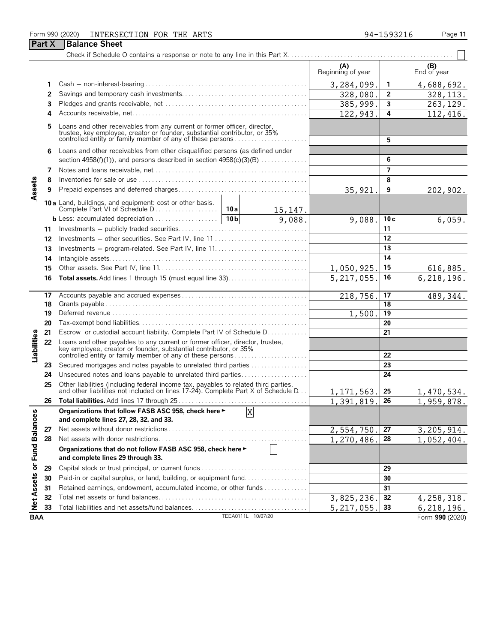#### Form 990 (2020) Page **11** INTERSECTION FOR THE ARTS 94-1593216

**Part X** Balance Sheet

| 94-1593216 |  |
|------------|--|
|------------|--|

Check if Schedule O contains a response or note to any line in this Part X. . . . . . . . . . . . . . . . . . . . . . . . . . . . . . . . . . . . . . . . . . . . . . . . . .  $(B)$  **(A)**  $\qquad \qquad$  **End of year** End of year **(A) (B) 1** Cash ' non-interest-bearing . . . . . . . . . . . . . . . . . . . . . . . . . . . . . . . . . . . . . . . . . . . . . . . . . **1** 284,099. 1 4,688,692 **2** Savings and temporary cash investments. . . . . . . . . . . . . . . . . . . . . . . . . . . . . . . . . . . . . . **2** 328,113. **3** Pledges and grants receivable, net. . . . . . . . . . . . . . . . . . . . . . . . . . . . . . . . . . . . . . . . . . . . **3** 385,999. 263,129. **4** Accounts receivable, net. . . . . . . . . . . . . . . . . . . . . . . . . . . . . . . . . . . . . . . . . . . . . . . . . . . . . **4** 112,416. 5 Loans and other receivables from any current or former officer, director,<br>trustee, key employee, creator or founder, substantial contributor, or 35%<br>controlled entity or family member of any of these persons . . . . . . **6** Loans and other receivables from other disqualified persons (as defined under section 4958(f)(1)), and persons described in section 4958(c)(3)(B). . . . . . . . . . . . . . . **6 7** Notes and loans receivable, net. . . . . . . . . . . . . . . . . . . . . . . . . . . . . . . . . . . . . . . . . . . . . . . **7 8** Inventories for sale or use . . . . . . . . . . . . . . . . . . . . . . . . . . . . . . . . . . . . . . . . . . . . . . . . . . . **8** Assets **9** Prepaid expenses and deferred charges . . . . . . . . . . . . . . . . . . . . . . . . . . . . . . . . . . . . . . . **9** 202,902 **10 a** Land, buildings, and equipment: cost or other basis. Complete Part VI of Schedule D . . . . . . . . . . . . . . . . . . . **10a** 15,147. **b** Less: accumulated depreciation . . . . . . . . . . . . . . . **10b 10 c 10 c 10 c 10 c 10 c 10 c 10 c 10 c 10 c 10 c 10 c 10 c 10 c 10 c 10 c 11 c 11 c 11 c 11 c 11 c 11 c 11** 6,059. **11** Investments ' publicly traded securities. . . . . . . . . . . . . . . . . . . . . . . . . . . . . . . . . . . . . . . **11 12** Investments ' other securities. See Part IV, line 11 . . . . . . . . . . . . . . . . . . . . . . . . . . . . **12 13** Investments ' program-related. See Part IV, line 11. . . . . . . . . . . . . . . . . . . . . . . . . . . . **13 14** Intangible assets. . . . . . . . . . . . . . . . . . . . . . . . . . . . . . . . . . . . . . . . . . . . . . . . . . . . . . . . . . . . **14 15** Other assets. See Part IV, line 11. . . . . . . . . . . . . . . . . . . . . . . . . . . . . . . . . . . . . . . . . . . . . **15**  $1,050,925.$  15 616,885. **16 Total assets.** Add lines 1 through 15 (must equal line 33). . . . . . . . . . . . . . . . . . . . . . . . **16** 6,218,196. **17** Accounts payable and accrued expenses . . . . . . . . . . . . . . . . . . . . . . . . . . . . . . . . . . . . . . **17** 489,344 **18** Grants payable . . . . . . . . . . . . . . . . . . . . . . . . . . . . . . . . . . . . . . . . . . . . . . . . . . . . . . . . . . . . . **18 19** Deferred revenue . . . . . . . . . . . . . . . . . . . . . . . . . . . . . . . . . . . . . . . . . . . . . . . . . . . . . . . . . . . **19** 1,500. **20** Tax-exempt bond liabilities. . . . . . . . . . . . . . . . . . . . . . . . . . . . . . . . . . . . . . . . . . . . . . . . . . . **20 21** Escrow or custodial account liability. Complete Part IV of Schedule D. . . . . . . . . . . . **21** Liabilities **22** Loans and other payables to any current or former officer, director, trustee, key employee, creator or founder, substantial contributor, or 35% controlled entity or family member of any of these persons . . . . . . . . . . . . . . . . . . . . . . **22 23** Secured mortgages and notes payable to unrelated third parties . . . . . . . . . . . . . . . . . **23 24** Unsecured notes and loans payable to unrelated third parties. . . . . . . . . . . . . . . . . . . . **24 25** Other liabilities (including federal income tax, payables to related third parties,<br>and other liabilities not included on lines 17-24). Complete Part X of Schedule D. . . **25** 1971, 563, **25**  $1, 171, 563$ . 25 | 1,470,534. **26 Total liabilities.** Add lines 17 through 25 . . . . . . . . . . . . . . . . . . . . . . . . . . . . . . . . . . . . . . . **26** 1,959,878. **Organizations that follow FASB ASC 958, check here** G X or Fund Balances **and complete lines 27, 28, 32, and 33. 27** Net assets without donor restrictions . . . . . . . . . . . . . . . . . . . . . . . . . . . . . . . . . . . . . . . . . . **27** 3,205,914. **28** Net assets with donor restrictions. . . . . . . . . . . . . . . . . . . . . . . . . . . . . . . . . . . . . . . . . . . . . **28** 1,052,404. **Organizations that do not follow FASB ASC 958, check here** G **and complete lines 29 through 33. 29** Capital stock or trust principal, or current funds. . . . . . . . . . . . . . . . . . . . . . . . . . . . . . . . . **29 Net Assets 30** Paid-in or capital surplus, or land, building, or equipment fund. . . . . . . . . . . . . . . . . . . **30 31** Retained earnings, endowment, accumulated income, or other funds . . . . . . . . . . . . . **31 32** Total net assets or fund balances. . . . . . . . . . . . . . . . . . . . . . . . . . . . . . . . . . . . . . . . . . . . . **32** 4,258,318. **33** Total liabilities and net assets/fund balances. . . . . . . . . . . . . . . . . . . . . . . . . . . . . . . . . . . **33** 6,218, 196. **BAA** TEEA0111L 10/07/20 Form **990** (2020)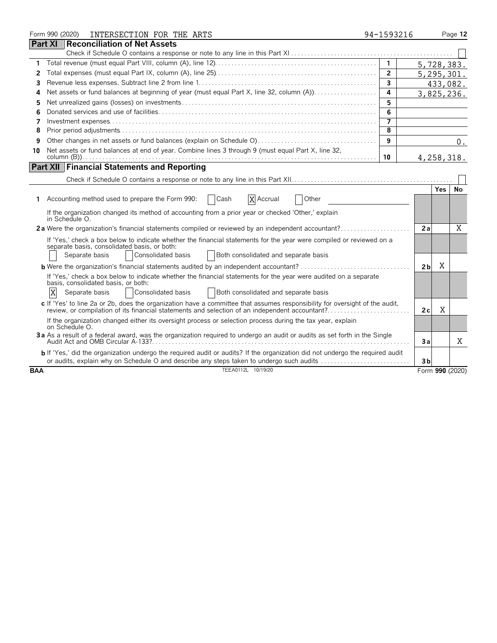|            | Form 990 (2020)<br>INTERSECTION FOR THE ARTS                                                                                                                                                                                                                | 94-1593216     |                |     | Page 12         |
|------------|-------------------------------------------------------------------------------------------------------------------------------------------------------------------------------------------------------------------------------------------------------------|----------------|----------------|-----|-----------------|
|            | <b>Part XI Reconciliation of Net Assets</b>                                                                                                                                                                                                                 |                |                |     |                 |
|            |                                                                                                                                                                                                                                                             |                |                |     |                 |
| 1          |                                                                                                                                                                                                                                                             | $\overline{1}$ | 5,728,383.     |     |                 |
| 2          |                                                                                                                                                                                                                                                             | $\overline{2}$ |                |     | 5,295,301.      |
|            |                                                                                                                                                                                                                                                             | $\overline{3}$ |                |     | 433,082.        |
| 4          | Net assets or fund balances at beginning of year (must equal Part X, line 32, column (A))                                                                                                                                                                   | 4              |                |     | 3,825,236.      |
| 5          |                                                                                                                                                                                                                                                             | 5              |                |     |                 |
| 6          |                                                                                                                                                                                                                                                             | 6              |                |     |                 |
| 7          |                                                                                                                                                                                                                                                             | $\overline{ }$ |                |     |                 |
| 8          |                                                                                                                                                                                                                                                             | 8              |                |     |                 |
| 9          |                                                                                                                                                                                                                                                             | 9              |                |     | 0.              |
| 10         | Net assets or fund balances at end of year. Combine lines 3 through 9 (must equal Part X, line 32,                                                                                                                                                          |                |                |     |                 |
|            | <b>Part XII Financial Statements and Reporting</b>                                                                                                                                                                                                          | 10             |                |     | 4,258,318.      |
|            |                                                                                                                                                                                                                                                             |                |                |     |                 |
|            |                                                                                                                                                                                                                                                             |                |                |     |                 |
|            |                                                                                                                                                                                                                                                             |                |                | Yes | No              |
| 1.         | X Accrual<br>Other<br>Accounting method used to prepare the Form 990:<br>Cash                                                                                                                                                                               |                |                |     |                 |
|            | If the organization changed its method of accounting from a prior year or checked 'Other,' explain<br>in Schedule O.                                                                                                                                        |                |                |     |                 |
|            | 2a Were the organization's financial statements compiled or reviewed by an independent accountant?                                                                                                                                                          |                | 2a             |     | X               |
|            | If 'Yes,' check a box below to indicate whether the financial statements for the year were compiled or reviewed on a<br>separate basis, consolidated basis, or both:<br>Consolidated basis<br><b>Both consolidated and separate basis</b><br>Separate basis |                |                |     |                 |
|            | <b>b</b> Were the organization's financial statements audited by an independent accountant?                                                                                                                                                                 |                | 2 <sub>b</sub> | X   |                 |
|            | If 'Yes,' check a box below to indicate whether the financial statements for the year were audited on a separate<br>basis, consolidated basis, or both:<br>ΙX<br>Consolidated basis<br><b>Both consolidated and separate basis</b><br>Separate basis        |                |                |     |                 |
|            | c If 'Yes' to line 2a or 2b, does the organization have a committee that assumes responsibility for oversight of the audit,                                                                                                                                 |                | 2c             | Χ   |                 |
|            | If the organization changed either its oversight process or selection process during the tax year, explain<br>on Schedule O.                                                                                                                                |                |                |     |                 |
|            | 3a As a result of a federal award, was the organization required to undergo an audit or audits as set forth in the Single                                                                                                                                   |                | Зa             |     | X               |
|            | <b>b</b> If 'Yes,' did the organization undergo the required audit or audits? If the organization did not undergo the required audit<br>or audits, explain why on Schedule O and describe any steps taken to undergo such audits                            |                | 3 <sub>b</sub> |     |                 |
| <b>BAA</b> | TEEA0112L 10/19/20                                                                                                                                                                                                                                          |                |                |     | Form 990 (2020) |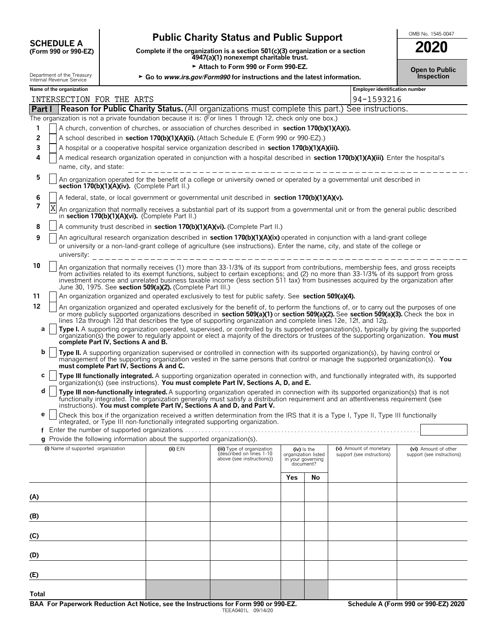| <b>SCHEDULE A</b>                                 |  |
|---------------------------------------------------|--|
| $T_{\text{CMB}}$ 000 $_{\text{C}}$ 000 $\text{E}$ |  |

# **Public Charity Status and Public Support**<br>
plete if the organization is a section 501(c)(3) organization or a section<br> **2020**

**(Form 990 or 990-EZ) Complete if the organization is a section 501(c)(3) organization or a section 2020 4947(a)(1) nonexempt charitable trust.**

Attach to Form 990 or Form 990-EZ.

|                                         | Department of the Treasury<br>Internal Revenue Service |                                                                                 |                                                                                                                                        | ► Go to www.irs.gov/Form990 for instructions and the latest information.                                                                                                                                                                                                                                                                                                                                                                                                                                                                                                                                                                                                                                                                                                                                                                                                                                                                                                                                                                                                                                                                                                                                                                                                                                                                                                                                                                                                                                                                                                                                                                                                                                                                                                                                                                                                                                                                                                                                                                                                                                                                                                                                                                                                                                               |                                      |    |                                                      | Inspection                                         |
|-----------------------------------------|--------------------------------------------------------|---------------------------------------------------------------------------------|----------------------------------------------------------------------------------------------------------------------------------------|------------------------------------------------------------------------------------------------------------------------------------------------------------------------------------------------------------------------------------------------------------------------------------------------------------------------------------------------------------------------------------------------------------------------------------------------------------------------------------------------------------------------------------------------------------------------------------------------------------------------------------------------------------------------------------------------------------------------------------------------------------------------------------------------------------------------------------------------------------------------------------------------------------------------------------------------------------------------------------------------------------------------------------------------------------------------------------------------------------------------------------------------------------------------------------------------------------------------------------------------------------------------------------------------------------------------------------------------------------------------------------------------------------------------------------------------------------------------------------------------------------------------------------------------------------------------------------------------------------------------------------------------------------------------------------------------------------------------------------------------------------------------------------------------------------------------------------------------------------------------------------------------------------------------------------------------------------------------------------------------------------------------------------------------------------------------------------------------------------------------------------------------------------------------------------------------------------------------------------------------------------------------------------------------------------------------|--------------------------------------|----|------------------------------------------------------|----------------------------------------------------|
|                                         | Name of the organization                               |                                                                                 |                                                                                                                                        |                                                                                                                                                                                                                                                                                                                                                                                                                                                                                                                                                                                                                                                                                                                                                                                                                                                                                                                                                                                                                                                                                                                                                                                                                                                                                                                                                                                                                                                                                                                                                                                                                                                                                                                                                                                                                                                                                                                                                                                                                                                                                                                                                                                                                                                                                                                        |                                      |    | <b>Employer identification number</b>                |                                                    |
|                                         | INTERSECTION FOR THE ARTS                              |                                                                                 |                                                                                                                                        |                                                                                                                                                                                                                                                                                                                                                                                                                                                                                                                                                                                                                                                                                                                                                                                                                                                                                                                                                                                                                                                                                                                                                                                                                                                                                                                                                                                                                                                                                                                                                                                                                                                                                                                                                                                                                                                                                                                                                                                                                                                                                                                                                                                                                                                                                                                        |                                      |    | 94-1593216                                           |                                                    |
| Part I<br>1<br>2<br>3<br>4              |                                                        |                                                                                 |                                                                                                                                        | <b>Reason for Public Charity Status.</b> (All organizations must complete this part.) See instructions.<br>The organization is not a private foundation because it is: (For lines 1 through 12, check only one box.)<br>A church, convention of churches, or association of churches described in section 170(b)(1)(A)(i).<br>A school described in section 170(b)(1)(A)(ii). (Attach Schedule E (Form 990 or 990-EZ).)<br>A hospital or a cooperative hospital service organization described in section 170(b)(1)(A)(iii).<br>A medical research organization operated in conjunction with a hospital described in section 170(b)(1)(A)(iii). Enter the hospital's                                                                                                                                                                                                                                                                                                                                                                                                                                                                                                                                                                                                                                                                                                                                                                                                                                                                                                                                                                                                                                                                                                                                                                                                                                                                                                                                                                                                                                                                                                                                                                                                                                                   |                                      |    |                                                      |                                                    |
| 5                                       | name, city, and state:                                 | section 170(b)(1)(A)(iv). (Complete Part II.)                                   | ____________                                                                                                                           | An organization operated for the benefit of a college or university owned or operated by a governmental unit described in                                                                                                                                                                                                                                                                                                                                                                                                                                                                                                                                                                                                                                                                                                                                                                                                                                                                                                                                                                                                                                                                                                                                                                                                                                                                                                                                                                                                                                                                                                                                                                                                                                                                                                                                                                                                                                                                                                                                                                                                                                                                                                                                                                                              |                                      |    |                                                      |                                                    |
| 6<br>7<br>8                             | Χ                                                      |                                                                                 | in section 170(b)(1)(A)(vi). (Complete Part II.)                                                                                       | A federal, state, or local government or governmental unit described in section 170(b)(1)(A)(v).<br>An organization that normally receives a substantial part of its support from a governmental unit or from the general public described<br>A community trust described in section 170(b)(1)(A)(vi). (Complete Part II.)                                                                                                                                                                                                                                                                                                                                                                                                                                                                                                                                                                                                                                                                                                                                                                                                                                                                                                                                                                                                                                                                                                                                                                                                                                                                                                                                                                                                                                                                                                                                                                                                                                                                                                                                                                                                                                                                                                                                                                                             |                                      |    |                                                      |                                                    |
| 9                                       |                                                        |                                                                                 |                                                                                                                                        | An agricultural research organization described in section 170(b)(1)(A)(ix) operated in conjunction with a land-grant college<br>or university or a non-land-grant college of agriculture (see instructions). Enter the name, city, and state of the college or                                                                                                                                                                                                                                                                                                                                                                                                                                                                                                                                                                                                                                                                                                                                                                                                                                                                                                                                                                                                                                                                                                                                                                                                                                                                                                                                                                                                                                                                                                                                                                                                                                                                                                                                                                                                                                                                                                                                                                                                                                                        |                                      |    |                                                      |                                                    |
| 10<br>11<br>12<br>a<br>b<br>C<br>d<br>е |                                                        | complete Part IV, Sections A and B.<br>must complete Part IV, Sections A and C. | June 30, 1975. See section 509(a)(2). (Complete Part III.)<br>g Provide the following information about the supported organization(s). | An organization that normally receives (1) more than 33-1/3% of its support from contributions, membership fees, and gross receipts<br>from activities related to its exempt functions, subject to certain exceptions; and (2) no more than 33-1/3% of its support from gross<br>investment income and unrelated business taxable income (less section 511 tax) from businesses acquired by the organization after<br>An organization organized and operated exclusively to test for public safety. See section 509(a)(4).<br>An organization organized and operated exclusively for the benefit of, to perform the functions of, or to carry out the purposes of one<br>or more publicly supported organizations described in section 509(a)(1) or section 509(a)(2). See section 509(a)(3). Check the box in<br>lines 12a through 12d that describes the type of supporting organization and complete lines 12e, 12f, and 12g.<br>Type I. A supporting organization operated, supervised, or controlled by its supported organization(s), typically by giving the supported<br>organization(s) the power to regularly appoint or elect a majority of the directors or trustees of the supporting organization. You must<br>Type II. A supporting organization supervised or controlled in connection with its supported organization(s), by having control or<br>management of the supporting organization vested in the same persons that control or manage the supported organization(s). You<br>Type III functionally integrated. A supporting organization operated in connection with, and functionally integrated with, its supported<br>organization(s) (see instructions). You must complete Part IV, Sections A, D, and E.<br>Type III non-functionally integrated. A supporting organization operated in connection with its supported organization(s) that is not<br>functionally integrated. The organization generally must satisfy a distribution requirement and an attentiveness requirement (see<br>instructions). You must complete Part IV, Sections A and D, and Part V.<br>Check this box if the organization received a written determination from the IRS that it is a Type I, Type II, Type III functionally<br>integrated, or Type III non-functionally integrated supporting organization. |                                      |    |                                                      |                                                    |
|                                         | (i) Name of supported organization                     |                                                                                 | $(ii)$ $EIN$                                                                                                                           | (iii) Type of organization<br>described on lines 1-10                                                                                                                                                                                                                                                                                                                                                                                                                                                                                                                                                                                                                                                                                                                                                                                                                                                                                                                                                                                                                                                                                                                                                                                                                                                                                                                                                                                                                                                                                                                                                                                                                                                                                                                                                                                                                                                                                                                                                                                                                                                                                                                                                                                                                                                                  | $(iv)$ is the<br>organization listed |    | (v) Amount of monetary<br>support (see instructions) | (vi) Amount of other<br>support (see instructions) |
|                                         |                                                        |                                                                                 |                                                                                                                                        | above (see instructions))                                                                                                                                                                                                                                                                                                                                                                                                                                                                                                                                                                                                                                                                                                                                                                                                                                                                                                                                                                                                                                                                                                                                                                                                                                                                                                                                                                                                                                                                                                                                                                                                                                                                                                                                                                                                                                                                                                                                                                                                                                                                                                                                                                                                                                                                                              | in your governing<br>document?       |    |                                                      |                                                    |
|                                         |                                                        |                                                                                 |                                                                                                                                        |                                                                                                                                                                                                                                                                                                                                                                                                                                                                                                                                                                                                                                                                                                                                                                                                                                                                                                                                                                                                                                                                                                                                                                                                                                                                                                                                                                                                                                                                                                                                                                                                                                                                                                                                                                                                                                                                                                                                                                                                                                                                                                                                                                                                                                                                                                                        | Yes                                  | No |                                                      |                                                    |
| (A)                                     |                                                        |                                                                                 |                                                                                                                                        |                                                                                                                                                                                                                                                                                                                                                                                                                                                                                                                                                                                                                                                                                                                                                                                                                                                                                                                                                                                                                                                                                                                                                                                                                                                                                                                                                                                                                                                                                                                                                                                                                                                                                                                                                                                                                                                                                                                                                                                                                                                                                                                                                                                                                                                                                                                        |                                      |    |                                                      |                                                    |
| (B)                                     |                                                        |                                                                                 |                                                                                                                                        |                                                                                                                                                                                                                                                                                                                                                                                                                                                                                                                                                                                                                                                                                                                                                                                                                                                                                                                                                                                                                                                                                                                                                                                                                                                                                                                                                                                                                                                                                                                                                                                                                                                                                                                                                                                                                                                                                                                                                                                                                                                                                                                                                                                                                                                                                                                        |                                      |    |                                                      |                                                    |
| (C)                                     |                                                        |                                                                                 |                                                                                                                                        |                                                                                                                                                                                                                                                                                                                                                                                                                                                                                                                                                                                                                                                                                                                                                                                                                                                                                                                                                                                                                                                                                                                                                                                                                                                                                                                                                                                                                                                                                                                                                                                                                                                                                                                                                                                                                                                                                                                                                                                                                                                                                                                                                                                                                                                                                                                        |                                      |    |                                                      |                                                    |
| (D)<br>(E)                              |                                                        |                                                                                 |                                                                                                                                        |                                                                                                                                                                                                                                                                                                                                                                                                                                                                                                                                                                                                                                                                                                                                                                                                                                                                                                                                                                                                                                                                                                                                                                                                                                                                                                                                                                                                                                                                                                                                                                                                                                                                                                                                                                                                                                                                                                                                                                                                                                                                                                                                                                                                                                                                                                                        |                                      |    |                                                      |                                                    |
| <b>Total</b>                            |                                                        |                                                                                 |                                                                                                                                        |                                                                                                                                                                                                                                                                                                                                                                                                                                                                                                                                                                                                                                                                                                                                                                                                                                                                                                                                                                                                                                                                                                                                                                                                                                                                                                                                                                                                                                                                                                                                                                                                                                                                                                                                                                                                                                                                                                                                                                                                                                                                                                                                                                                                                                                                                                                        |                                      |    |                                                      |                                                    |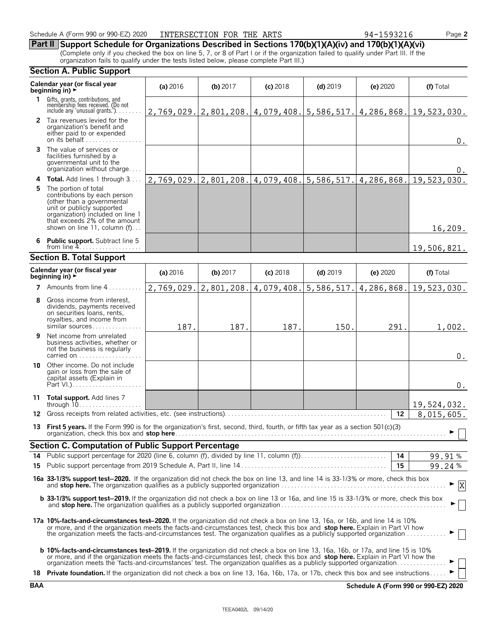# **Part II Support Schedule for Organizations Described in Sections 170(b)(1)(A)(iv) and 170(b)(1)(A)(vi)**

(Complete only if you checked the box on line 5, 7, or 8 of Part I or if the organization failed to qualify under Part III. If the organization fails to qualify under the tests listed below, please complete Part III.)

|    | <b>Section A. Public Support</b>                                                                                                                                                                                                                                                                                                                                                                        |                                    |          |                                                        |                                        |            |                |
|----|---------------------------------------------------------------------------------------------------------------------------------------------------------------------------------------------------------------------------------------------------------------------------------------------------------------------------------------------------------------------------------------------------------|------------------------------------|----------|--------------------------------------------------------|----------------------------------------|------------|----------------|
|    | Calendar year (or fiscal year<br>beginning in) $\blacktriangleright$                                                                                                                                                                                                                                                                                                                                    | (a) 2016                           | (b) 2017 | $(c)$ 2018                                             | $(d)$ 2019                             | $(e)$ 2020 | (f) Total      |
| 1  | Gifts, grants, contributions, and<br>membership fees received. (Do not<br>include any 'unusual grants.'). $\ldots$                                                                                                                                                                                                                                                                                      |                                    |          | 2,769,029. 2,801,208. 4,079,408. 5,586,517. 4,286,868. |                                        |            | 19,523,030.    |
|    | 2 Tax revenues levied for the<br>organization's benefit and<br>either paid to or expended<br>on its behalf                                                                                                                                                                                                                                                                                              |                                    |          |                                                        |                                        |            | $0$ .          |
| 3  | The value of services or<br>facilities furnished by a<br>governmental unit to the<br>organization without charge                                                                                                                                                                                                                                                                                        |                                    |          |                                                        |                                        |            | $0$ .          |
| 4  | <b>Total.</b> Add lines 1 through 3                                                                                                                                                                                                                                                                                                                                                                     | 2,769,029.                         |          | $2,801,208.$ 4,079,408. 5,586,517. 4,286,868.          |                                        |            | 19,523,030.    |
| 5  | The portion of total<br>contributions by each person<br>(other than a governmental<br>unit or publicly supported<br>organization) included on line 1<br>that exceeds 2% of the amount<br>shown on line 11, column $(f)$                                                                                                                                                                                 |                                    |          |                                                        |                                        |            | 16, 209.       |
| 6  | <b>Public support.</b> Subtract line 5<br>from line $4$                                                                                                                                                                                                                                                                                                                                                 |                                    |          |                                                        |                                        |            | 19,506,821.    |
|    | <b>Section B. Total Support</b>                                                                                                                                                                                                                                                                                                                                                                         |                                    |          |                                                        |                                        |            |                |
|    | Calendar year (or fiscal year<br>beginning in) $\blacktriangleright$                                                                                                                                                                                                                                                                                                                                    | (a) 2016                           | (b) 2017 | $(c)$ 2018                                             | $(d)$ 2019                             | (e) 2020   | (f) Total      |
| 7  | Amounts from line 4                                                                                                                                                                                                                                                                                                                                                                                     | $\overline{2,769,029.}$ 2,801,208. |          |                                                        | $4,079,408.$ 5, 586, 517. 4, 286, 868. |            | 19,523,030.    |
| 8  | Gross income from interest,<br>dividends, payments received<br>on securities loans, rents,<br>royalties, and income from<br>similar sources                                                                                                                                                                                                                                                             | 187.                               | 187.     | 187.                                                   | 150.                                   | 291.       | 1,002.         |
| 9  | Net income from unrelated<br>business activities, whether or<br>not the business is regularly<br>carried on                                                                                                                                                                                                                                                                                             |                                    |          |                                                        |                                        |            | $0$ .          |
|    | <b>10</b> Other income. Do not include<br>gain or loss from the sale of<br>capital assets (Explain in<br>Part VI.)                                                                                                                                                                                                                                                                                      |                                    |          |                                                        |                                        |            | $0$ .          |
| 11 | <b>Total support.</b> Add lines 7                                                                                                                                                                                                                                                                                                                                                                       |                                    |          |                                                        |                                        |            | 19,524,032.    |
| 12 | Gross receipts from related activities, etc. (see instructions)                                                                                                                                                                                                                                                                                                                                         |                                    |          |                                                        |                                        | 12         | 8,015,605.     |
|    | 13 First 5 years. If the Form 990 is for the organization's first, second, third, fourth, or fifth tax year as a section 501(c)(3)                                                                                                                                                                                                                                                                      |                                    |          |                                                        |                                        |            | $\blacksquare$ |
|    | <b>Section C. Computation of Public Support Percentage</b>                                                                                                                                                                                                                                                                                                                                              |                                    |          |                                                        |                                        |            |                |
| 14 | Public support percentage for 2020 (line 6, column (f), divided by line 11, column (f))                                                                                                                                                                                                                                                                                                                 |                                    |          |                                                        |                                        | 14         | 99.91%         |
|    |                                                                                                                                                                                                                                                                                                                                                                                                         |                                    |          |                                                        |                                        | 15         | 99.24%         |
|    | 16a 33-1/3% support test-2020. If the organization did not check the box on line 13, and line 14 is 33-1/3% or more, check this box                                                                                                                                                                                                                                                                     |                                    |          |                                                        |                                        |            | $\vert$ X      |
|    | <b>b 33-1/3% support test-2019.</b> If the organization did not check a box on line 13 or 16a, and line 15 is 33-1/3% or more, check this box                                                                                                                                                                                                                                                           |                                    |          |                                                        |                                        |            |                |
|    | 17a 10%-facts-and-circumstances test-2020. If the organization did not check a box on line 13, 16a, or 16b, and line 14 is 10%<br>or more, and if the organization meets the facts-and-circumstances test, check this box and stop here. Explain in Part VI how<br>the organization meets the facts-and-circumstances test. The organization qualifies as a publicly supported organization             |                                    |          |                                                        |                                        |            |                |
|    | <b>b 10%-facts-and-circumstances test-2019.</b> If the organization did not check a box on line 13, 16a, 16b, or 17a, and line 15 is 10%<br>or more, and if the organization meets the facts-and-circumstances test, check this box and stop here. Explain in Part VI how the<br>organization meets the 'facts-and-circumstances' test. The organization qualifies as a publicly supported organization |                                    |          |                                                        |                                        |            |                |
|    | 18 Private foundation. If the organization did not check a box on line 13, 16a, 16b, 17a, or 17b, check this box and see instructions                                                                                                                                                                                                                                                                   |                                    |          |                                                        |                                        |            |                |

**BAA Schedule A (Form 990 or 990-EZ) 2020**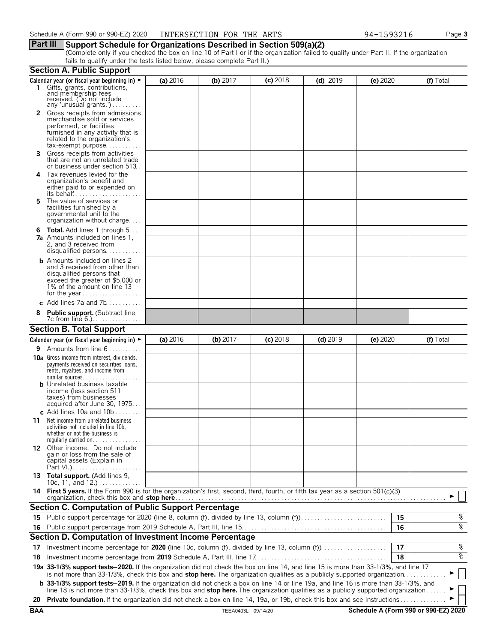# **Part III Support Schedule for Organizations Described in Section 509(a)(2)**

(Complete only if you checked the box on line 10 of Part I or if the organization failed to qualify under Part II. If the organization fails to qualify under the tests listed below, please complete Part II.)

|     | <b>Section A. Public Support</b>                                                                                                                                                                                                                                              |          |                    |            |            |          |    |                                      |
|-----|-------------------------------------------------------------------------------------------------------------------------------------------------------------------------------------------------------------------------------------------------------------------------------|----------|--------------------|------------|------------|----------|----|--------------------------------------|
|     | Calendar year (or fiscal year beginning in) $\blacktriangleright$<br>1 Gifts, grants, contributions,<br>and membership fees<br>received. (Do not include                                                                                                                      | (a) 2016 | (b) $2017$         | $(c)$ 2018 | $(d)$ 2019 | (e) 2020 |    | (f) Total                            |
|     | any 'unusual grants.')<br>2 Gross receipts from admissions,<br>merchandise sold or services<br>performed, or facilities<br>furnished in any activity that is<br>related to the organization's<br>$tax\text{-}exempt$ purpose                                                  |          |                    |            |            |          |    |                                      |
| 3   | Gross receipts from activities<br>that are not an unrelated trade<br>or business under section 513.                                                                                                                                                                           |          |                    |            |            |          |    |                                      |
| 4   | Tax revenues levied for the<br>organization's benefit and<br>either paid to or expended on<br>its behalf                                                                                                                                                                      |          |                    |            |            |          |    |                                      |
| 5.  | The value of services or<br>facilities furnished by a<br>governmental unit to the<br>organization without charge                                                                                                                                                              |          |                    |            |            |          |    |                                      |
|     | <b>6 Total.</b> Add lines 1 through $5 \ldots$<br><b>7a</b> Amounts included on lines 1.<br>2, and 3 received from<br>disqualified persons                                                                                                                                    |          |                    |            |            |          |    |                                      |
|     | <b>b</b> Amounts included on lines 2<br>and 3 received from other than<br>disqualified persons that<br>exceed the greater of \$5,000 or<br>1% of the amount on line 13<br>for the year                                                                                        |          |                    |            |            |          |    |                                      |
|     | c Add lines 7a and 7b                                                                                                                                                                                                                                                         |          |                    |            |            |          |    |                                      |
|     | <b>Public support.</b> (Subtract line<br>7c from line 6.).                                                                                                                                                                                                                    |          |                    |            |            |          |    |                                      |
|     | <b>Section B. Total Support</b>                                                                                                                                                                                                                                               |          |                    |            |            |          |    |                                      |
|     | Calendar year (or fiscal year beginning in) $\blacktriangleright$                                                                                                                                                                                                             | (a) 2016 | $(b)$ 2017         | $(c)$ 2018 | $(d)$ 2019 | (e) 2020 |    | (f) Total                            |
| 9.  | Amounts from line 6                                                                                                                                                                                                                                                           |          |                    |            |            |          |    |                                      |
|     | <b>10a</b> Gross income from interest, dividends,<br>payments received on securities loans,<br>rents, royalties, and income from<br>similar sources.                                                                                                                          |          |                    |            |            |          |    |                                      |
|     | <b>b</b> Unrelated business taxable<br>income (less section 511<br>taxes) from businesses<br>acquired after June 30, 1975<br>c Add lines 10a and $10b$                                                                                                                        |          |                    |            |            |          |    |                                      |
| 11  | Net income from unrelated business<br>activities not included in line 10b,<br>whether or not the business is<br>regularly carried on. $\dots$                                                                                                                                 |          |                    |            |            |          |    |                                      |
|     | 12 Other income. Do not include<br>gain or loss from the sale of<br>capital assets (Explain in                                                                                                                                                                                |          |                    |            |            |          |    |                                      |
|     | 13 Total support. (Add lines 9,<br>10c, 11, and 12.)                                                                                                                                                                                                                          |          |                    |            |            |          |    |                                      |
|     | 14 First 5 years. If the Form 990 is for the organization's first, second, third, fourth, or fifth tax year as a section 501(c)(3)<br>organization, check this box and stop here                                                                                              |          |                    |            |            |          |    |                                      |
|     | Section C. Computation of Public Support Percentage                                                                                                                                                                                                                           |          |                    |            |            |          |    |                                      |
|     | 15 Public support percentage for 2020 (line 8, column (f), divided by line 13, column (f)                                                                                                                                                                                     |          |                    |            |            |          | 15 | ್ಠಿ                                  |
|     |                                                                                                                                                                                                                                                                               |          |                    |            |            |          | 16 | oko                                  |
|     | Section D. Computation of Investment Income Percentage                                                                                                                                                                                                                        |          |                    |            |            |          |    |                                      |
| 17  |                                                                                                                                                                                                                                                                               |          |                    |            |            |          | 17 | ್ಗ                                   |
| 18  |                                                                                                                                                                                                                                                                               |          |                    |            |            |          | 18 | ್ಠಿ                                  |
|     | 19a 33-1/3% support tests-2020. If the organization did not check the box on line 14, and line 15 is more than 33-1/3%, and line 17<br>is not more than 33-1/3%, check this box and stop here. The organization qualifies as a publicly supported organization                |          |                    |            |            |          |    |                                      |
|     | <b>b</b> 33-1/3% support tests-2019. If the organization did not check a box on line 14 or line 19a, and line 16 is more than 33-1/3%, and<br>line 18 is not more than 33-1/3%, check this box and stop here. The organization qualifies as a publicly supported organization |          |                    |            |            |          |    |                                      |
| 20  | Private foundation. If the organization did not check a box on line 14, 19a, or 19b, check this box and see instructions                                                                                                                                                      |          |                    |            |            |          |    |                                      |
| BAA |                                                                                                                                                                                                                                                                               |          | TEEA0403L 09/14/20 |            |            |          |    | Schedule A (Form 990 or 990-EZ) 2020 |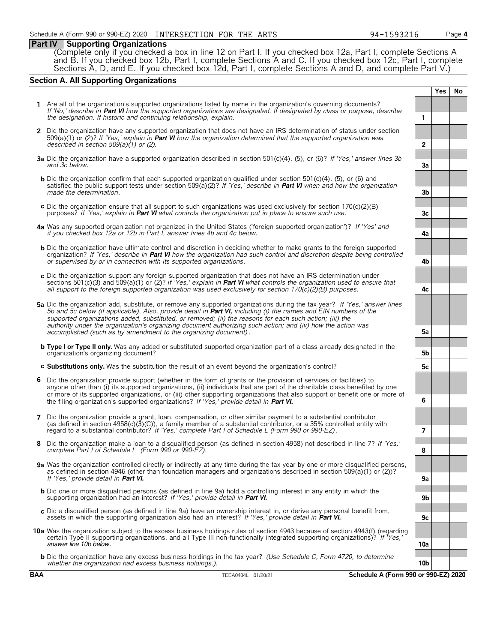# **Part IV Supporting Organizations**

(Complete only if you checked a box in line 12 on Part I. If you checked box 12a, Part I, complete Sections A and B. If you checked box 12b, Part I, complete Sections A and C. If you checked box 12c, Part I, complete Sections A, D, and E. If you checked box 12d, Part I, complete Sections A and D, and complete Part V.)

# **Section A. All Supporting Organizations**

|            | 1 Are all of the organization's supported organizations listed by name in the organization's governing documents?<br>If 'No,' describe in Part VI how the supported organizations are designated. If designated by class or purpose, describe<br>the designation. If historic and continuing relationship, explain.                                                                                                                                                                                                                          | $\mathbf{1}$   |  |
|------------|----------------------------------------------------------------------------------------------------------------------------------------------------------------------------------------------------------------------------------------------------------------------------------------------------------------------------------------------------------------------------------------------------------------------------------------------------------------------------------------------------------------------------------------------|----------------|--|
|            | 2 Did the organization have any supported organization that does not have an IRS determination of status under section<br>509(a)(1) or (2)? If 'Yes,' explain in Part VI how the organization determined that the supported organization was<br>described in section $509(a)(1)$ or (2).                                                                                                                                                                                                                                                     | $\overline{2}$ |  |
|            | 3a Did the organization have a supported organization described in section 501(c)(4), (5), or (6)? If 'Yes,' answer lines 3b<br>and 3c below.                                                                                                                                                                                                                                                                                                                                                                                                | За             |  |
|            | <b>b</b> Did the organization confirm that each supported organization qualified under section 501(c)(4), (5), or (6) and<br>satisfied the public support tests under section 509(a)(2)? If 'Yes,' describe in Part VI when and how the organization<br>made the determination.                                                                                                                                                                                                                                                              | 3 <sub>b</sub> |  |
|            | c Did the organization ensure that all support to such organizations was used exclusively for section $170(c)(2)(B)$<br>purposes? If 'Yes,' explain in Part VI what controls the organization put in place to ensure such use.                                                                                                                                                                                                                                                                                                               | 3c             |  |
|            | 4a Was any supported organization not organized in the United States ('foreign supported organization')? If 'Yes' and<br>if you checked box 12a or 12b in Part I, answer lines 4b and 4c below.                                                                                                                                                                                                                                                                                                                                              | 4a             |  |
|            | <b>b</b> Did the organization have ultimate control and discretion in deciding whether to make grants to the foreign supported<br>organization? If 'Yes,' describe in Part VI how the organization had such control and discretion despite being controlled<br>or supervised by or in connection with its supported organizations.                                                                                                                                                                                                           | 4b             |  |
|            | c Did the organization support any foreign supported organization that does not have an IRS determination under<br>sections 501(c)(3) and 509(a)(1) or (2)? If 'Yes,' explain in <b>Part VI</b> what controls the organization used to ensure that<br>all support to the foreign supported organization was used exclusively for section $170(c)(2)(B)$ purposes.                                                                                                                                                                            | 4c             |  |
|            | 5a Did the organization add, substitute, or remove any supported organizations during the tax year? If 'Yes,' answer lines<br>5b and 5c below (if applicable). Also, provide detail in Part VI, including (i) the names and EIN numbers of the<br>supported organizations added, substituted, or removed; (ii) the reasons for each such action; (iii) the<br>authority under the organization's organizing document authorizing such action; and (iv) how the action was<br>accomplished (such as by amendment to the organizing document). | 5a             |  |
|            | <b>b</b> Type I or Type II only. Was any added or substituted supported organization part of a class already designated in the<br>organization's organizing document?                                                                                                                                                                                                                                                                                                                                                                        | 5b             |  |
|            | c Substitutions only. Was the substitution the result of an event beyond the organization's control?                                                                                                                                                                                                                                                                                                                                                                                                                                         | 5c             |  |
| 6          | Did the organization provide support (whether in the form of grants or the provision of services or facilities) to<br>anyone other than (i) its supported organizations, (ii) individuals that are part of the charitable class benefited by one<br>or more of its supported organizations, or (iii) other supporting organizations that also support or benefit one or more of<br>the filing organization's supported organizations? If 'Yes,' provide detail in Part VI.                                                                   | 6              |  |
| 7          | Did the organization provide a grant, loan, compensation, or other similar payment to a substantial contributor<br>(as defined in section $4958(c)(3)(C)$ ), a family member of a substantial contributor, or a 35% controlled entity with<br>regard to a substantial contributor? If 'Yes,' complete Part I of Schedule L (Form 990 or 990-EZ).                                                                                                                                                                                             | $\overline{7}$ |  |
| 8          | Did the organization make a loan to a disqualified person (as defined in section 4958) not described in line 7? If 'Yes,'<br>complete Part I of Schedule L (Form 990 or 990-EZ).                                                                                                                                                                                                                                                                                                                                                             | 8              |  |
|            | 9a Was the organization controlled directly or indirectly at any time during the tax year by one or more disqualified persons,<br>as defined in section 4946 (other than foundation managers and organizations described in section 509(a)(1) or (2))?<br>If 'Yes,' provide detail in <b>Part VI.</b>                                                                                                                                                                                                                                        | 9a             |  |
|            | <b>b</b> Did one or more disqualified persons (as defined in line 9a) hold a controlling interest in any entity in which the<br>supporting organization had an interest? If 'Yes,' provide detail in Part VI.                                                                                                                                                                                                                                                                                                                                | 9b             |  |
|            | c Did a disqualified person (as defined in line 9a) have an ownership interest in, or derive any personal benefit from,<br>assets in which the supporting organization also had an interest? If 'Yes,' provide detail in Part VI.                                                                                                                                                                                                                                                                                                            | 9с             |  |
|            | 10a Was the organization subject to the excess business holdings rules of section 4943 because of section 4943(f) (regarding<br>certain Type II supporting organizations, and all Type III non-functionally integrated supporting organizations)? If 'Yes,'<br>answer line 10b below.                                                                                                                                                                                                                                                        | 10a            |  |
|            | <b>b</b> Did the organization have any excess business holdings in the tax year? (Use Schedule C, Form 4720, to determine<br>whether the organization had excess business holdings.).                                                                                                                                                                                                                                                                                                                                                        | 10b            |  |
| <b>BAA</b> | Schedule A (Form 990 or 990-EZ) 2020<br>TEEA0404L 01/20/21                                                                                                                                                                                                                                                                                                                                                                                                                                                                                   |                |  |

**Yes No**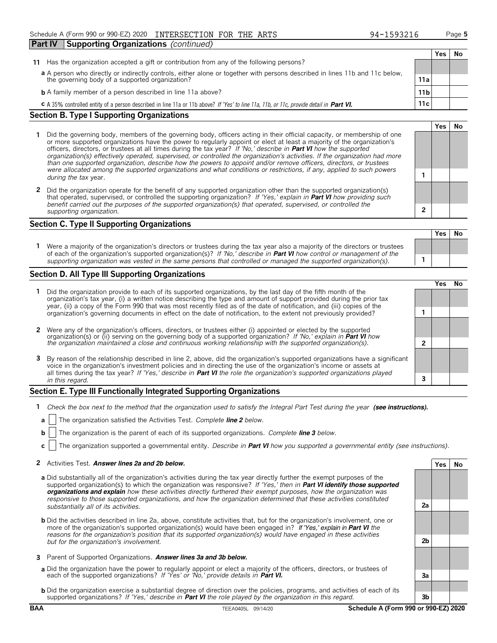**Yes No**

| <b>Part IV</b>                                                                       | Supporting Organizations (continued)                                                                                                    |     |     |    |
|--------------------------------------------------------------------------------------|-----------------------------------------------------------------------------------------------------------------------------------------|-----|-----|----|
|                                                                                      |                                                                                                                                         |     | Yes | No |
| 11                                                                                   | Has the organization accepted a gift or contribution from any of the following persons?                                                 |     |     |    |
|                                                                                      | a A person who directly or indirectly controls, either alone or together with persons described in lines 11b and 11c below,             |     |     |    |
| the governing body of a supported organization?                                      |                                                                                                                                         | 11a |     |    |
| <b>b</b> A family member of a person described in line 11a above?<br>11 <sub>b</sub> |                                                                                                                                         |     |     |    |
|                                                                                      | C A 35% controlled entity of a person described in line 11a or 11b above? If 'Yes' to line 11a, 11b, or 11c, provide detail in Part VI. | 11c |     |    |
|                                                                                      |                                                                                                                                         |     |     |    |

# **Section B. Type I Supporting Organizations**

- **1** Did the governing body, members of the governing body, officers acting in their official capacity, or membership of one or more supported organizations have the power to regularly appoint or elect at least a majority of the organization's officers, directors, or trustees at all times during the tax year? *If 'No,' describe in* **Part VI** *how the supported organization(s) effectively operated, supervised, or controlled the organization's activities. If the organization had more than one supported organization, describe how the powers to appoint and/or remove officers, directors, or trustees were allocated among the supported organizations and what conditions or restrictions, if any, applied to such powers* **1** *during the tax* year.
- **2** Did the organization operate for the benefit of any supported organization other than the supported organization(s) that operated, supervised, or controlled the supporting organization? *If 'Yes,' explain in* **Part VI** *how providing such benefit carried out the purposes of the supported organization(s) that operated, supervised, or controlled the supporting organization.* **2**

# **Section C. Type II Supporting Organizations**

**Yes No 1** Were a majority of the organization's directors or trustees during the tax year also a majority of the directors or trustees of each of the organization's supported organization(s)? *If 'No,' describe in* **Part VI** *how control or management of the supporting organization was vested in the same persons that controlled or managed the supported organization(s).* **1**

# **Section D. All Type III Supporting Organizations**

|    |                                                                                                                                                                                                                                                                                                                                                                                     | ⁄ ρς |  |
|----|-------------------------------------------------------------------------------------------------------------------------------------------------------------------------------------------------------------------------------------------------------------------------------------------------------------------------------------------------------------------------------------|------|--|
|    | Did the organization provide to each of its supported organizations, by the last day of the fifth month of the<br>organization's tax year, (i) a written notice describing the type and amount of support provided during the prior tax<br>year, (ii) a copy of the Form 990 that was most recently filed as of the date of notification, and (iii) copies of the                   |      |  |
|    | organization's governing documents in effect on the date of notification, to the extent not previously provided?                                                                                                                                                                                                                                                                    |      |  |
| 2  | Were any of the organization's officers, directors, or trustees either (i) appointed or elected by the supported                                                                                                                                                                                                                                                                    |      |  |
|    | organization(s) or (ii) serving on the governing body of a supported organization? If No, explain in <b>Part VI</b> how<br>the organization maintained a close and continuous working relationship with the supported organization(s).                                                                                                                                              |      |  |
| 3. | By reason of the relationship described in line 2, above, did the organization's supported organizations have a significant<br>voice in the organization's investment policies and in directing the use of the organization's income or assets at<br>all times during the tax year? If 'Yes,' describe in <b>Part VI</b> the role the organization's supported organizations played |      |  |
|    | in this regard.                                                                                                                                                                                                                                                                                                                                                                     |      |  |

### **Section E. Type III Functionally Integrated Supporting Organizations**

- **1** *Check the box next to the method that the organization used to satisfy the Integral Part Test during the year* (see instructions).
- **a** The organization satisfied the Activities Test. *Complete line 2 below.*
- **b** The organization is the parent of each of its supported organizations. *Complete line 3 below.*
- **c** The organization supported a governmental entity. *Describe in* **Part VI** *how you supported a governmental entity (see instructions).*

### **2** Activities Test. **Answer lines 2a and 2b below. Yes No**

- **a** Did substantially all of the organization's activities during the tax year directly further the exempt purposes of the supported organization(s) to which the organization was responsive? *If 'Yes,' then in* **Part VI identify those supported organizations and explain** *how these activities directly furthered their exempt purposes, how the organization was responsive to those supported organizations, and how the organization determined that these activities constituted substantially all of its activities.* **2a**
- **b** Did the activities described in line 2a, above, constitute activities that, but for the organization's involvement, one or more of the organization's supported organization(s) would have been engaged in? If 'Yes,' explain in **Part VI** *the reasons for the organization's position that its supported organization(s) would have engaged in these activities but for the organization's involvement.* **2b**
- **3** Parent of Supported Organizations. **Answer lines 3a and 3b below.**
- **a** Did the organization have the power to regularly appoint or elect a majority of the officers, directors, or trustees of each of the supported organizations? *If 'Yes' or 'No,' provide details in* **Part VI. 3a**
- **b** Did the organization exercise a substantial degree of direction over the policies, programs, and activities of each of its supported organizations? *If 'Yes,' describe in* **Part VI** *the role played by the organization in this regard.* **3b**

**BAA** TEEA0405L 09/14/20 **Schedule A (Form 990 or 990-EZ) 2020**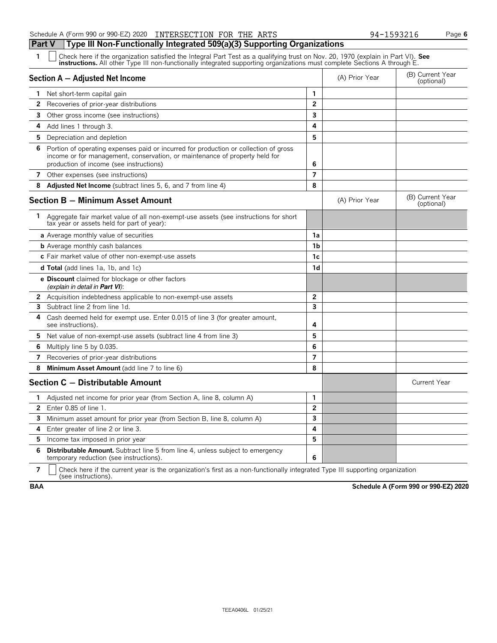# Schedule A (Form 990 or 990-EZ) 2020 INTERSECTION FOR THE ARTS 94-1593216 Page 6 **Part V Type III Non-Functionally Integrated 509(a)(3) Supporting Organizations**

| 1<br>Check here if the organization satisfied the Integral Part Test as a qualifying trust on Nov. 20, 1970 (explain in Part VI). See<br><b>instructions.</b> All other Type III non-functionally integrated supporting organizations must complete Sections A through E. |                                                                                      |                |                |                                |  |  |
|---------------------------------------------------------------------------------------------------------------------------------------------------------------------------------------------------------------------------------------------------------------------------|--------------------------------------------------------------------------------------|----------------|----------------|--------------------------------|--|--|
| Section A - Adjusted Net Income                                                                                                                                                                                                                                           |                                                                                      |                |                |                                |  |  |
| 1 Net short-term capital gain                                                                                                                                                                                                                                             |                                                                                      | 1              |                |                                |  |  |
| 2<br>Recoveries of prior-year distributions                                                                                                                                                                                                                               |                                                                                      | $\overline{2}$ |                |                                |  |  |
| 3<br>Other gross income (see instructions)                                                                                                                                                                                                                                |                                                                                      | 3              |                |                                |  |  |
| 4<br>Add lines 1 through 3.                                                                                                                                                                                                                                               |                                                                                      | 4              |                |                                |  |  |
| Depreciation and depletion<br>5.                                                                                                                                                                                                                                          |                                                                                      | 5              |                |                                |  |  |
| 6<br>income or for management, conservation, or maintenance of property held for<br>production of income (see instructions)                                                                                                                                               | Portion of operating expenses paid or incurred for production or collection of gross | 6              |                |                                |  |  |
| 7 Other expenses (see instructions)                                                                                                                                                                                                                                       |                                                                                      | $\overline{7}$ |                |                                |  |  |
| <b>Adjusted Net Income</b> (subtract lines 5, 6, and 7 from line 4)<br>8                                                                                                                                                                                                  |                                                                                      | 8              |                |                                |  |  |
| <b>Section B - Minimum Asset Amount</b>                                                                                                                                                                                                                                   |                                                                                      |                | (A) Prior Year | (B) Current Year<br>(optional) |  |  |
| 1 Aggregate fair market value of all non-exempt-use assets (see instructions for short<br>tax year or assets held for part of year):                                                                                                                                      |                                                                                      |                |                |                                |  |  |
| a Average monthly value of securities                                                                                                                                                                                                                                     |                                                                                      | 1a             |                |                                |  |  |
| <b>b</b> Average monthly cash balances                                                                                                                                                                                                                                    |                                                                                      | 1b             |                |                                |  |  |
| c Fair market value of other non-exempt-use assets                                                                                                                                                                                                                        |                                                                                      | 1c             |                |                                |  |  |
| <b>d Total</b> (add lines 1a, 1b, and 1c)                                                                                                                                                                                                                                 |                                                                                      | 1d             |                |                                |  |  |
| e Discount claimed for blockage or other factors<br>(explain in detail in <b>Part VI</b> ):                                                                                                                                                                               |                                                                                      |                |                |                                |  |  |
| $\mathbf{2}$<br>Acquisition indebtedness applicable to non-exempt-use assets                                                                                                                                                                                              |                                                                                      | $\overline{2}$ |                |                                |  |  |
| Subtract line 2 from line 1d.<br>3                                                                                                                                                                                                                                        |                                                                                      | 3              |                |                                |  |  |
| Cash deemed held for exempt use. Enter 0.015 of line 3 (for greater amount,<br>4<br>see instructions).                                                                                                                                                                    |                                                                                      | 4              |                |                                |  |  |
| 5<br>Net value of non-exempt-use assets (subtract line 4 from line 3)                                                                                                                                                                                                     |                                                                                      | 5              |                |                                |  |  |
| Multiply line 5 by 0.035.<br>6                                                                                                                                                                                                                                            |                                                                                      | 6              |                |                                |  |  |
| 7<br>Recoveries of prior-year distributions                                                                                                                                                                                                                               |                                                                                      | $\overline{7}$ |                |                                |  |  |
| Minimum Asset Amount (add line 7 to line 6)<br>8                                                                                                                                                                                                                          |                                                                                      | 8              |                |                                |  |  |
| Section C - Distributable Amount                                                                                                                                                                                                                                          |                                                                                      |                |                | <b>Current Year</b>            |  |  |
| Adjusted net income for prior year (from Section A, line 8, column A)<br>1.                                                                                                                                                                                               |                                                                                      | 1              |                |                                |  |  |
| Enter 0.85 of line 1.<br>2                                                                                                                                                                                                                                                |                                                                                      | 2              |                |                                |  |  |
| 3<br>Minimum asset amount for prior year (from Section B, line 8, column A)                                                                                                                                                                                               |                                                                                      | 3              |                |                                |  |  |
| Enter greater of line 2 or line 3.<br>4                                                                                                                                                                                                                                   |                                                                                      | 4              |                |                                |  |  |
| 5<br>Income tax imposed in prior year                                                                                                                                                                                                                                     |                                                                                      | 5              |                |                                |  |  |
| <b>Distributable Amount.</b> Subtract line 5 from line 4, unless subject to emergency<br>6<br>temporary reduction (see instructions).                                                                                                                                     |                                                                                      | 6              |                |                                |  |  |

**7**  $\Box$  Check here if the current year is the organization's first as a non-functionally integrated Type III supporting organization (see instructions).

**BAA Schedule A (Form 990 or 990-EZ) 2020**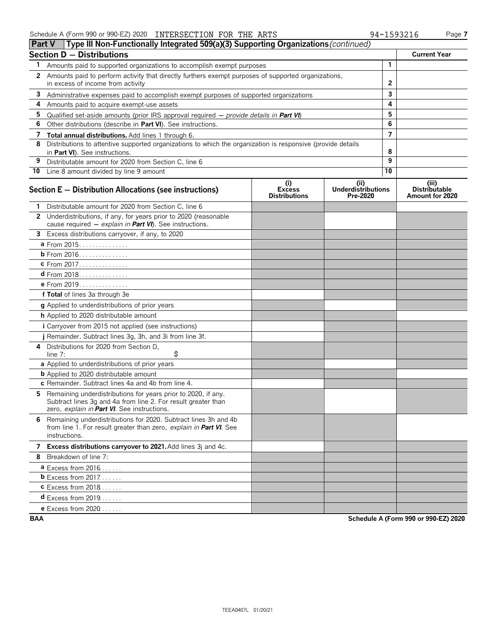|              | Type III Non-Functionally Integrated 509(a)(3) Supporting Organizations (continued)<br><b>Part V</b>                                                                          |                                              |                                              |                |                                                  |
|--------------|-------------------------------------------------------------------------------------------------------------------------------------------------------------------------------|----------------------------------------------|----------------------------------------------|----------------|--------------------------------------------------|
|              | <b>Section D - Distributions</b>                                                                                                                                              |                                              |                                              |                | <b>Current Year</b>                              |
| 1.           | Amounts paid to supported organizations to accomplish exempt purposes                                                                                                         |                                              |                                              | $\mathbf{1}$   |                                                  |
| $\mathbf{2}$ | Amounts paid to perform activity that directly furthers exempt purposes of supported organizations,                                                                           |                                              |                                              |                |                                                  |
|              | in excess of income from activity                                                                                                                                             |                                              | 2                                            |                |                                                  |
| 3            | Administrative expenses paid to accomplish exempt purposes of supported organizations                                                                                         |                                              | 3                                            |                |                                                  |
| 4            | Amounts paid to acquire exempt-use assets                                                                                                                                     |                                              |                                              | 4              |                                                  |
| 5            | Qualified set-aside amounts (prior IRS approval required $-$ provide details in <b>Part VI</b> )                                                                              |                                              |                                              | 5              |                                                  |
| 6            | Other distributions (describe in Part VI). See instructions.                                                                                                                  |                                              |                                              | 6              |                                                  |
| 7            | Total annual distributions. Add lines 1 through 6.                                                                                                                            |                                              |                                              | $\overline{7}$ |                                                  |
| 8            | Distributions to attentive supported organizations to which the organization is responsive (provide details<br>in Part VI). See instructions.                                 |                                              |                                              | 8              |                                                  |
| 9            | Distributable amount for 2020 from Section C, line 6                                                                                                                          |                                              |                                              | 9              |                                                  |
|              | 10 Line 8 amount divided by line 9 amount                                                                                                                                     |                                              |                                              | 10             |                                                  |
|              | Section E - Distribution Allocations (see instructions)                                                                                                                       | (i)<br><b>Excess</b><br><b>Distributions</b> | (i)<br><b>Underdistributions</b><br>Pre-2020 |                | (iii)<br><b>Distributable</b><br>Amount for 2020 |
| 1.           | Distributable amount for 2020 from Section C, line 6                                                                                                                          |                                              |                                              |                |                                                  |
|              | 2 Underdistributions, if any, for years prior to 2020 (reasonable<br>cause required $-$ explain in <b>Part VI</b> ). See instructions.                                        |                                              |                                              |                |                                                  |
|              | 3 Excess distributions carryover, if any, to 2020                                                                                                                             |                                              |                                              |                |                                                  |
|              | a From 2015.                                                                                                                                                                  |                                              |                                              |                |                                                  |
|              | <b>b</b> From 2016.                                                                                                                                                           |                                              |                                              |                |                                                  |
|              | C From 2017.                                                                                                                                                                  |                                              |                                              |                |                                                  |
|              | $d$ From 2018.                                                                                                                                                                |                                              |                                              |                |                                                  |
|              | e From 2019.                                                                                                                                                                  |                                              |                                              |                |                                                  |
|              | f Total of lines 3a through 3e                                                                                                                                                |                                              |                                              |                |                                                  |
|              | g Applied to underdistributions of prior years                                                                                                                                |                                              |                                              |                |                                                  |
|              | h Applied to 2020 distributable amount                                                                                                                                        |                                              |                                              |                |                                                  |
|              | i Carryover from 2015 not applied (see instructions)                                                                                                                          |                                              |                                              |                |                                                  |
|              | j Remainder. Subtract lines 3g, 3h, and 3i from line 3f.                                                                                                                      |                                              |                                              |                |                                                  |
| 4            | Distributions for 2020 from Section D.<br>\$<br>line $7:$                                                                                                                     |                                              |                                              |                |                                                  |
|              | a Applied to underdistributions of prior years                                                                                                                                |                                              |                                              |                |                                                  |
|              | <b>b</b> Applied to 2020 distributable amount                                                                                                                                 |                                              |                                              |                |                                                  |
|              | c Remainder. Subtract lines 4a and 4b from line 4.                                                                                                                            |                                              |                                              |                |                                                  |
| 5.           | Remaining underdistributions for years prior to 2020, if any.<br>Subtract lines 3g and 4a from line 2. For result greater than<br>zero, explain in Part VI. See instructions. |                                              |                                              |                |                                                  |
|              | 6 Remaining underdistributions for 2020. Subtract lines 3h and 4b<br>from line 1. For result greater than zero, explain in Part VI. See<br>instructions.                      |                                              |                                              |                |                                                  |
|              | 7 Excess distributions carryover to 2021. Add lines 3j and 4c.                                                                                                                |                                              |                                              |                |                                                  |
|              | 8 Breakdown of line 7:                                                                                                                                                        |                                              |                                              |                |                                                  |
|              | a Excess from 2016                                                                                                                                                            |                                              |                                              |                |                                                  |
|              | $b$ Excess from 2017.                                                                                                                                                         |                                              |                                              |                |                                                  |
|              | $c$ Excess from 2018                                                                                                                                                          |                                              |                                              |                |                                                  |
|              | <b>d</b> Excess from 2019                                                                                                                                                     |                                              |                                              |                |                                                  |
|              | e Excess from 2020                                                                                                                                                            |                                              |                                              |                |                                                  |

**BAA Schedule A (Form 990 or 990-EZ) 2020**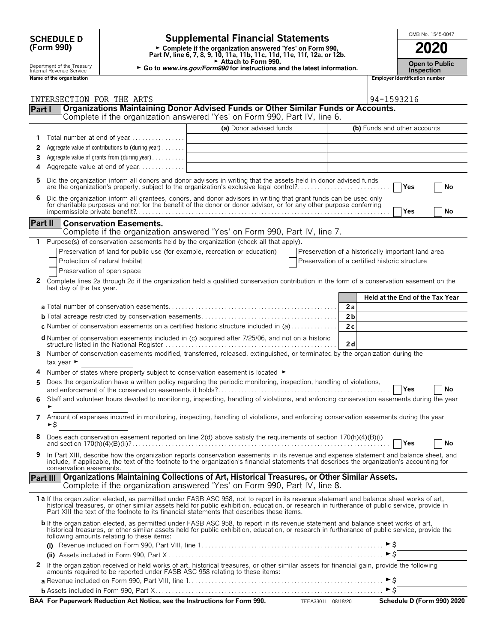# **(Form 990)**

# **SCHEDULE D**  $\begin{bmatrix} \text{OMB No. 1545-0047} \\ \text{OMB No. 1545-0047} \end{bmatrix}$

**Part IV, line 6, 7, 8, 9, 10, 11a, 11b, 11c, 11d, 11e, 11f, 12a, or 12b.**<br>
Part IV, line 6, 7, 8, 9, 10, 11a, 11b, 11c, 11d, 11e, 11f, 12a, or 12b.

G **Attach to Form 990.**

Department of the Treasury **Department of the Treasury ★ Go to** *www.irs.gov/Form990* **for instructions and the latest information. Open to Public Inspection** 

|         | Name of the organization                                                                                                                                                                                                                                                                                                                                                               |                         |                                                | <b>Employer identification number</b>              |
|---------|----------------------------------------------------------------------------------------------------------------------------------------------------------------------------------------------------------------------------------------------------------------------------------------------------------------------------------------------------------------------------------------|-------------------------|------------------------------------------------|----------------------------------------------------|
|         |                                                                                                                                                                                                                                                                                                                                                                                        |                         |                                                |                                                    |
|         | INTERSECTION FOR THE ARTS                                                                                                                                                                                                                                                                                                                                                              |                         |                                                | 94-1593216                                         |
| Part I  | <b>Organizations Maintaining Donor Advised Funds or Other Similar Funds or Accounts.</b>                                                                                                                                                                                                                                                                                               |                         |                                                |                                                    |
|         | Complete if the organization answered 'Yes' on Form 990, Part IV, line 6.                                                                                                                                                                                                                                                                                                              |                         |                                                |                                                    |
|         |                                                                                                                                                                                                                                                                                                                                                                                        | (a) Donor advised funds |                                                | (b) Funds and other accounts                       |
| 1       |                                                                                                                                                                                                                                                                                                                                                                                        |                         |                                                |                                                    |
| 2       | Aggregate value of contributions to (during year)                                                                                                                                                                                                                                                                                                                                      |                         |                                                |                                                    |
| 3       | Aggregate value of grants from (during year)                                                                                                                                                                                                                                                                                                                                           |                         |                                                |                                                    |
| 4       | Aggregate value at end of year                                                                                                                                                                                                                                                                                                                                                         |                         |                                                |                                                    |
| 5       | Did the organization inform all donors and donor advisors in writing that the assets held in donor advised funds<br>are the organization's property, subject to the organization's exclusive legal control?                                                                                                                                                                            |                         |                                                | ∣Yes<br>No                                         |
|         | Did the organization inform all grantees, donors, and donor advisors in writing that grant funds can be used only<br>for charitable purposes and not for the benefit of the donor or donor advisor, or for any other purpose conferring                                                                                                                                                |                         |                                                | Yes<br>No                                          |
| Part II | <b>Conservation Easements.</b><br>Complete if the organization answered 'Yes' on Form 990, Part IV, line 7.                                                                                                                                                                                                                                                                            |                         |                                                |                                                    |
| 1       | Purpose(s) of conservation easements held by the organization (check all that apply).                                                                                                                                                                                                                                                                                                  |                         |                                                |                                                    |
|         | Preservation of land for public use (for example, recreation or education)                                                                                                                                                                                                                                                                                                             |                         |                                                | Preservation of a historically important land area |
|         | Protection of natural habitat                                                                                                                                                                                                                                                                                                                                                          |                         | Preservation of a certified historic structure |                                                    |
|         | Preservation of open space                                                                                                                                                                                                                                                                                                                                                             |                         |                                                |                                                    |
| 2       | Complete lines 2a through 2d if the organization held a qualified conservation contribution in the form of a conservation easement on the<br>last day of the tax year.                                                                                                                                                                                                                 |                         |                                                |                                                    |
|         |                                                                                                                                                                                                                                                                                                                                                                                        |                         | 2a                                             | Held at the End of the Tax Year                    |
|         |                                                                                                                                                                                                                                                                                                                                                                                        |                         | 2 <sub>b</sub>                                 |                                                    |
|         | <b>c</b> Number of conservation easements on a certified historic structure included in (a)                                                                                                                                                                                                                                                                                            |                         | 2c                                             |                                                    |
|         |                                                                                                                                                                                                                                                                                                                                                                                        |                         |                                                |                                                    |
|         | d Number of conservation easements included in (c) acquired after 7/25/06, and not on a historic                                                                                                                                                                                                                                                                                       |                         | 2d                                             |                                                    |
| 3       | Number of conservation easements modified, transferred, released, extinguished, or terminated by the organization during the<br>tax year ►                                                                                                                                                                                                                                             |                         |                                                |                                                    |
|         | Number of states where property subject to conservation easement is located ►                                                                                                                                                                                                                                                                                                          |                         |                                                |                                                    |
|         | Does the organization have a written policy regarding the periodic monitoring, inspection, handling of violations,                                                                                                                                                                                                                                                                     |                         |                                                | Yes<br>No                                          |
| 6       | Staff and volunteer hours devoted to monitoring, inspecting, handling of violations, and enforcing conservation easements during the year                                                                                                                                                                                                                                              |                         |                                                |                                                    |
| 7       | Amount of expenses incurred in monitoring, inspecting, handling of violations, and enforcing conservation easements during the year<br>►\$                                                                                                                                                                                                                                             |                         |                                                |                                                    |
|         |                                                                                                                                                                                                                                                                                                                                                                                        |                         |                                                | No<br>Yes                                          |
| 9       | In Part XIII, describe how the organization reports conservation easements in its revenue and expense statement and balance sheet, and<br>include, if applicable, the text of the footnote to the organization's financial statements that describes the organization's accounting for<br>conservation easements.                                                                      |                         |                                                |                                                    |
|         | Organizations Maintaining Collections of Art, Historical Treasures, or Other Similar Assets.<br>Part III<br>Complete if the organization answered 'Yes' on Form 990, Part IV, line 8.                                                                                                                                                                                                  |                         |                                                |                                                    |
|         | 1a If the organization elected, as permitted under FASB ASC 958, not to report in its revenue statement and balance sheet works of art,<br>historical treasures, or other similar assets held for public exhibition, education, or research in furtherance of public service, provide in<br>Part XIII the text of the footnote to its financial statements that describes these items. |                         |                                                |                                                    |
|         | <b>b</b> If the organization elected, as permitted under FASB ASC 958, to report in its revenue statement and balance sheet works of art,<br>historical treasures, or other similar assets held for public exhibition, education, or research in furtherance of public service, provide the<br>following amounts relating to these items:                                              |                         |                                                |                                                    |
|         |                                                                                                                                                                                                                                                                                                                                                                                        |                         |                                                | ►s                                                 |
|         |                                                                                                                                                                                                                                                                                                                                                                                        |                         |                                                | $\triangleright$ \$                                |
|         | 2 If the organization received or held works of art, historical treasures, or other similar assets for financial gain, provide the following<br>amounts required to be reported under FASB ASC 958 relating to these items:                                                                                                                                                            |                         |                                                |                                                    |
|         |                                                                                                                                                                                                                                                                                                                                                                                        |                         |                                                | $\triangleright$ \$                                |
|         | b Assets included in Form 990, Part X………………………………………………………………………… ▶\$                                                                                                                                                                                                                                                                                                                  |                         |                                                |                                                    |

| BAA For Paperwork Reduction Act Notice, see the Instructions for Form 990. |  |  |  |  |  |  |  |  |  |
|----------------------------------------------------------------------------|--|--|--|--|--|--|--|--|--|
|----------------------------------------------------------------------------|--|--|--|--|--|--|--|--|--|

**BAA For Paperwork Reduction Act Notice, see the Instructions for Form 990.** TEEA3301L 08/18/20 **Schedule D (Form 990) 2020**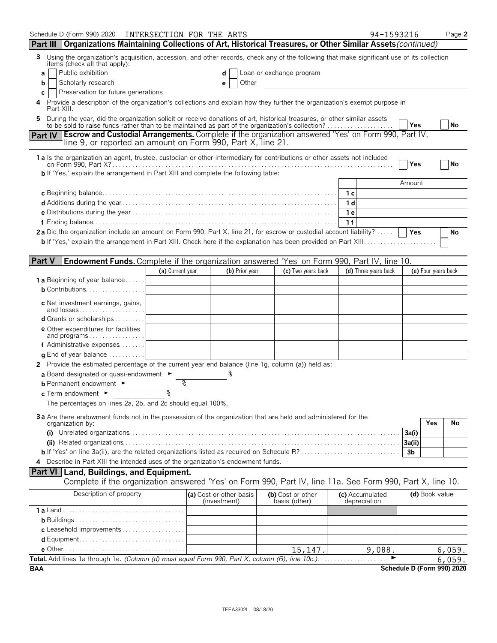| Schedule D (Form 990) 2020                                                                                                                                                                                                        | INTERSECTION FOR THE ARTS |  |                         |                          |                      | 94-1593216                 |              |                     | Page 2    |
|-----------------------------------------------------------------------------------------------------------------------------------------------------------------------------------------------------------------------------------|---------------------------|--|-------------------------|--------------------------|----------------------|----------------------------|--------------|---------------------|-----------|
| Organizations Maintaining Collections of Art, Historical Treasures, or Other Similar Assets (continued)<br><b>Part III</b>                                                                                                        |                           |  |                         |                          |                      |                            |              |                     |           |
| Using the organization's acquisition, accession, and other records, check any of the following that make significant use of its collection<br>3<br>items (check all that apply):                                                  |                           |  |                         |                          |                      |                            |              |                     |           |
| Public exhibition<br>a                                                                                                                                                                                                            |                           |  |                         | Loan or exchange program |                      |                            |              |                     |           |
| Scholarly research<br>b                                                                                                                                                                                                           |                           |  | Other<br>е              |                          |                      |                            |              |                     |           |
| Preservation for future generations<br>C                                                                                                                                                                                          |                           |  |                         |                          |                      |                            |              |                     |           |
| Provide a description of the organization's collections and explain how they further the organization's exempt purpose in<br>4<br>Part XIII.                                                                                      |                           |  |                         |                          |                      |                            |              |                     |           |
| During the year, did the organization solicit or receive donations of art, historical treasures, or other similar assets<br>5<br>to be sold to raise funds rather than to be maintained as part of the organization's collection? |                           |  |                         |                          |                      |                            | Yes          |                     | <b>No</b> |
| <b>Escrow and Custodial Arrangements.</b> Complete if the organization answered 'Yes' on Form 990, Part IV,<br><b>Part IV</b><br>line 9, or reported an amount on Form 990, Part X, line 21.                                      |                           |  |                         |                          |                      |                            |              |                     |           |
| 1 a Is the organization an agent, trustee, custodian or other intermediary for contributions or other assets not included                                                                                                         |                           |  |                         |                          |                      |                            |              |                     |           |
|                                                                                                                                                                                                                                   |                           |  |                         |                          |                      |                            | Yes          |                     | No        |
| b If 'Yes,' explain the arrangement in Part XIII and complete the following table:                                                                                                                                                |                           |  |                         |                          |                      |                            |              |                     |           |
|                                                                                                                                                                                                                                   |                           |  |                         |                          |                      |                            | Amount       |                     |           |
|                                                                                                                                                                                                                                   |                           |  |                         |                          | 1 с                  |                            |              |                     |           |
| 1 <sub>d</sub>                                                                                                                                                                                                                    |                           |  |                         |                          |                      |                            |              |                     |           |
|                                                                                                                                                                                                                                   |                           |  |                         |                          | 1е<br>1f             |                            |              |                     |           |
| 2a Did the organization include an amount on Form 990, Part X, line 21, for escrow or custodial account liability?                                                                                                                |                           |  |                         |                          |                      |                            |              |                     |           |
|                                                                                                                                                                                                                                   |                           |  |                         |                          |                      |                            |              |                     | No        |
|                                                                                                                                                                                                                                   |                           |  |                         |                          |                      |                            |              |                     |           |
| <b>Part V</b><br><b>Endowment Funds.</b> Complete if the organization answered 'Yes' on Form 990, Part IV, line 10.                                                                                                               |                           |  |                         |                          |                      |                            |              |                     |           |
|                                                                                                                                                                                                                                   | (a) Current year          |  | (b) Prior year          | (c) Two years back       | (d) Three years back |                            |              | (e) Four years back |           |
| <b>1 a</b> Beginning of year balance                                                                                                                                                                                              |                           |  |                         |                          |                      |                            |              |                     |           |
| <b>b</b> Contributions. $\ldots \ldots \ldots \ldots \ldots$                                                                                                                                                                      |                           |  |                         |                          |                      |                            |              |                     |           |
| c Net investment earnings, gains,<br>and losses                                                                                                                                                                                   |                           |  |                         |                          |                      |                            |              |                     |           |
| <b>d</b> Grants or scholarships $\ldots \ldots \ldots$                                                                                                                                                                            |                           |  |                         |                          |                      |                            |              |                     |           |
| e Other expenditures for facilities<br>and programs                                                                                                                                                                               |                           |  |                         |                          |                      |                            |              |                     |           |
| f Administrative expenses                                                                                                                                                                                                         |                           |  |                         |                          |                      |                            |              |                     |           |
| $q$ End of year balance $\ldots \ldots \ldots$                                                                                                                                                                                    |                           |  |                         |                          |                      |                            |              |                     |           |
| 2 Provide the estimated percentage of the current year end balance (line 1g, column (a)) held as:                                                                                                                                 |                           |  |                         |                          |                      |                            |              |                     |           |
| a Board designated or quasi-endowment $\blacktriangleright$                                                                                                                                                                       |                           |  |                         |                          |                      |                            |              |                     |           |
| <b>b</b> Permanent endowment $\blacktriangleright$                                                                                                                                                                                | %                         |  |                         |                          |                      |                            |              |                     |           |
| $\epsilon$ Term endowment $\blacktriangleright$                                                                                                                                                                                   | ٩                         |  |                         |                          |                      |                            |              |                     |           |
| The percentages on lines 2a, 2b, and 2c should equal 100%.                                                                                                                                                                        |                           |  |                         |                          |                      |                            |              |                     |           |
| 3a Are there endowment funds not in the possession of the organization that are held and administered for the                                                                                                                     |                           |  |                         |                          |                      |                            |              |                     |           |
| organization by:                                                                                                                                                                                                                  |                           |  |                         |                          |                      |                            |              | Yes                 | No        |
|                                                                                                                                                                                                                                   |                           |  |                         |                          |                      |                            | 3a(i)        |                     |           |
|                                                                                                                                                                                                                                   |                           |  |                         |                          |                      |                            | 3a(ii)<br>3b |                     |           |
| Describe in Part XIII the intended uses of the organization's endowment funds.                                                                                                                                                    |                           |  |                         |                          |                      |                            |              |                     |           |
| Part VI Land, Buildings, and Equipment.                                                                                                                                                                                           |                           |  |                         |                          |                      |                            |              |                     |           |
| Complete if the organization answered 'Yes' on Form 990, Part IV, line 11a. See Form 990, Part X, line 10.                                                                                                                        |                           |  |                         |                          |                      |                            |              |                     |           |
| Description of property                                                                                                                                                                                                           |                           |  | (a) Cost or other basis | (b) Cost or other        | (c) Accumulated      |                            |              | (d) Book value      |           |
|                                                                                                                                                                                                                                   |                           |  | (investment)            | basis (other)            | depreciation         |                            |              |                     |           |
|                                                                                                                                                                                                                                   |                           |  |                         |                          |                      |                            |              |                     |           |
|                                                                                                                                                                                                                                   |                           |  |                         |                          |                      |                            |              |                     |           |
| c Leasehold improvements                                                                                                                                                                                                          |                           |  |                         |                          |                      |                            |              |                     |           |
|                                                                                                                                                                                                                                   |                           |  |                         |                          |                      |                            |              |                     |           |
|                                                                                                                                                                                                                                   |                           |  |                         | 15,147.                  |                      | 9,088.                     |              |                     | 6,059.    |
| Total. Add lines 1a through 1e. (Column (d) must equal Form 990, Part X, column (B), line 10c.)                                                                                                                                   |                           |  |                         |                          |                      | ▶                          |              |                     | 6,059.    |
| BAA                                                                                                                                                                                                                               |                           |  |                         |                          |                      | Schedule D (Form 990) 2020 |              |                     |           |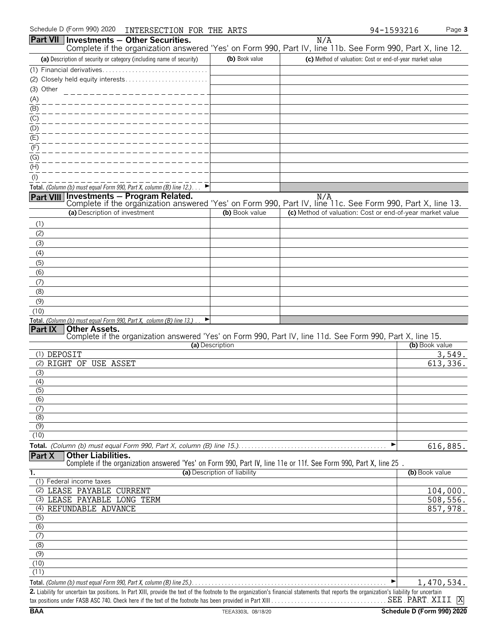| Schedule D (Form 990) 2020<br>INTERSECTION FOR THE ARTS                 |                | Page 3<br>94-1593216                                                                                                                                                  |
|-------------------------------------------------------------------------|----------------|-----------------------------------------------------------------------------------------------------------------------------------------------------------------------|
| <b>Part VII Investments - Other Securities.</b>                         |                | N/A<br>Complete if the organization answered 'Yes' on Form 990, Part IV, line 11b. See Form 990, Part X, line 12.                                                     |
| (a) Description of security or category (including name of security)    | (b) Book value | (c) Method of valuation: Cost or end-of-year market value                                                                                                             |
| (2)                                                                     |                |                                                                                                                                                                       |
| Other<br>(3)<br>_________________<br>(A)<br>(B)                         |                |                                                                                                                                                                       |
| (C)                                                                     |                |                                                                                                                                                                       |
| (D)                                                                     |                |                                                                                                                                                                       |
| (E)<br>(F)                                                              |                |                                                                                                                                                                       |
| (G)<br>(H)                                                              |                |                                                                                                                                                                       |
| (1)                                                                     |                |                                                                                                                                                                       |
| Total. (Column (b) must equal Form 990, Part X, column (B) line $12.$ ) |                |                                                                                                                                                                       |
|                                                                         |                | <b>Part VIII Investments - Program Related.</b> N/A N/A<br>Complete if the organization answered 'Yes' on Form 990, Part IV, line 11c. See Form 990, Part X, line 13. |
| (a) Description of investment                                           | (b) Book value | (c) Method of valuation: Cost or end-of-year market value                                                                                                             |
| (1)                                                                     |                |                                                                                                                                                                       |

| (a) Description of investment                                         | (b) BOOK Value | (c) Method of Valuation: Cost or end-of-year market value |
|-----------------------------------------------------------------------|----------------|-----------------------------------------------------------|
| (1)                                                                   |                |                                                           |
| (2)                                                                   |                |                                                           |
| (3)                                                                   |                |                                                           |
| (4)                                                                   |                |                                                           |
| (5)                                                                   |                |                                                           |
| (6)                                                                   |                |                                                           |
|                                                                       |                |                                                           |
| (8)                                                                   |                |                                                           |
| (9)                                                                   |                |                                                           |
| (10)                                                                  |                |                                                           |
| Total. (Column (b) must equal Form 990, Part X, column (B) line 13.). |                |                                                           |

**Part IX Other Assets.** Complete if the organization answered 'Yes' on Form 990, Part IV, line 11d. See Form 990, Part X, line 15.

| (a) Description        | (b) Book value            |
|------------------------|---------------------------|
| (1) DEPOSIT            | $\frac{3,549}{613,336}$ . |
| (2) RIGHT OF USE ASSET |                           |
| (3)                    |                           |
| (4)                    |                           |
| (5)                    |                           |
| (6)                    |                           |
| (7)                    |                           |
| (8)                    |                           |
| (9)                    |                           |
| (10)                   |                           |
|                        | 616,885.                  |

# **Part X Other Liabilities.**

Complete if the organization answered 'Yes' on Form 990, Part IV, line 11e or 11f. See Form 990, Part X, line 25 .

| (a) Description of liability                                                                                                                                                | (b) Book value |
|-----------------------------------------------------------------------------------------------------------------------------------------------------------------------------|----------------|
| (1) Federal income taxes                                                                                                                                                    |                |
| (2) LEASE PAYABLE CURRENT                                                                                                                                                   | 104,000.       |
| (3) LEASE PAYABLE LONG TERM                                                                                                                                                 | 508,556.       |
| (4) REFUNDABLE ADVANCE                                                                                                                                                      | 857,978.       |
| (5)                                                                                                                                                                         |                |
| (6)                                                                                                                                                                         |                |
| (7)                                                                                                                                                                         |                |
| (8)                                                                                                                                                                         |                |
| (9)                                                                                                                                                                         |                |
| (10)                                                                                                                                                                        |                |
| (11)                                                                                                                                                                        |                |
|                                                                                                                                                                             | 1,470,534.     |
| 2. Califficially magnifically accident to New VIII, and delay included in the concelection of financial control and magnificial the concelection of Habita, for magnificial |                |

2. Liability for uncertain tax positions. In Part XIII, provide the text of the footnote to the organization's financial statements that reports the organization's liability for uncertain tax positions under FASB ASC 740. Check here if the text of the footnote has been provided in Part XIII . . . . . . . . . . . . . . . . . . . . . . . . . . . . . . . . . . . . . . . . . . . . . . . . . . . . . . . X SEE PART XIII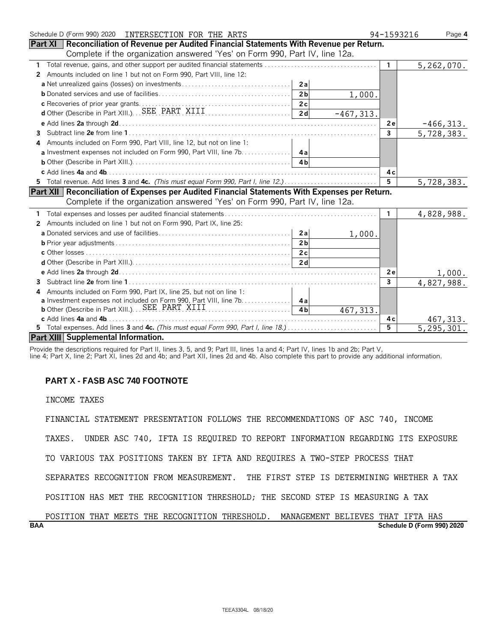| Schedule D (Form 990) 2020 INTERSECTION FOR THE ARTS                                                 | 94-1593216     | Page 4       |
|------------------------------------------------------------------------------------------------------|----------------|--------------|
| <b>Part XI</b>   Reconciliation of Revenue per Audited Financial Statements With Revenue per Return. |                |              |
| Complete if the organization answered 'Yes' on Form 990, Part IV, line 12a.                          |                |              |
|                                                                                                      | $\mathbf{1}$   | 5, 262, 070. |
| Amounts included on line 1 but not on Form 990, Part VIII, line 12:<br>$\mathbf{2}$                  |                |              |
|                                                                                                      |                |              |
| 2 <sub>b</sub><br>1,000.                                                                             |                |              |
|                                                                                                      |                |              |
| $-467, 313.$                                                                                         |                |              |
|                                                                                                      | 2e             | $-466, 313.$ |
| 3                                                                                                    | $\overline{3}$ | 5,728,383.   |
| Amounts included on Form 990, Part VIII, line 12, but not on line 1:<br>4                            |                |              |
| <b>a</b> Investment expenses not included on Form 990, Part VIII, line 7b. 4a                        |                |              |
|                                                                                                      |                |              |
|                                                                                                      | 4с             |              |
| 5 Total revenue. Add lines 3 and 4c. (This must equal Form 990, Part I, line 12.)                    | 5              | 5,728,383.   |
| Part XII   Reconciliation of Expenses per Audited Financial Statements With Expenses per Return.     |                |              |
| Complete if the organization answered 'Yes' on Form 990, Part IV, line 12a.                          |                |              |
|                                                                                                      | $\mathbf{1}$   | 4,828,988.   |
| Amounts included on line 1 but not on Form 990, Part IX, line 25:<br>2                               |                |              |
| 1,000.                                                                                               |                |              |
|                                                                                                      |                |              |
|                                                                                                      |                |              |
|                                                                                                      |                |              |
|                                                                                                      | <b>2e</b>      | 1,000.       |
| 3                                                                                                    | $\overline{3}$ | 4,827,988.   |
| Amounts included on Form 990, Part IX, line 25, but not on line 1:<br>4                              |                |              |
| <b>a</b> Investment expenses not included on Form 990, Part VIII, line 7b. 4a                        |                |              |
| 4 <sub>h</sub><br>467, 313.                                                                          |                |              |
|                                                                                                      | 4 c            | 467, 313.    |
| 5 Total expenses. Add lines 3 and 4c. (This must equal Form 990, Part I, line 18.)                   | 5              | 5,295,301.   |
| <b>Part XIII Supplemental Information.</b>                                                           |                |              |

Provide the descriptions required for Part II, lines 3, 5, and 9; Part III, lines 1a and 4; Part IV, lines 1b and 2b; Part V,

# line 4; Part X, line 2; Part XI, lines 2d and 4b; and Part XII, lines 2d and 4b. Also complete this part to provide any additional information.

# **PART X - FASB ASC 740 FOOTNOTE**

INCOME TAXES

FINANCIAL STATEMENT PRESENTATION FOLLOWS THE RECOMMENDATIONS OF ASC 740, INCOME

TAXES. UNDER ASC 740, IFTA IS REQUIRED TO REPORT INFORMATION REGARDING ITS EXPOSURE

TO VARIOUS TAX POSITIONS TAKEN BY IFTA AND REQUIRES A TWO-STEP PROCESS THAT

SEPARATES RECOGNITION FROM MEASUREMENT. THE FIRST STEP IS DETERMINING WHETHER A TAX

POSITION HAS MET THE RECOGNITION THRESHOLD; THE SECOND STEP IS MEASURING A TAX

**BAA Schedule D (Form 990) 2020** POSITION THAT MEETS THE RECOGNITION THRESHOLD. MANAGEMENT BELIEVES THAT IFTA HAS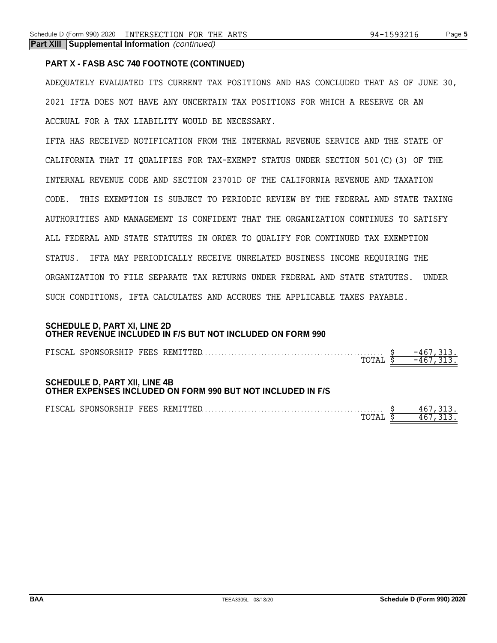# **PART X - FASB ASC 740 FOOTNOTE (CONTINUED)**

ADEQUATELY EVALUATED ITS CURRENT TAX POSITIONS AND HAS CONCLUDED THAT AS OF JUNE 30, 2021 IFTA DOES NOT HAVE ANY UNCERTAIN TAX POSITIONS FOR WHICH A RESERVE OR AN ACCRUAL FOR A TAX LIABILITY WOULD BE NECESSARY.

IFTA HAS RECEIVED NOTIFICATION FROM THE INTERNAL REVENUE SERVICE AND THE STATE OF CALIFORNIA THAT IT QUALIFIES FOR TAX-EXEMPT STATUS UNDER SECTION 501(C)(3) OF THE INTERNAL REVENUE CODE AND SECTION 23701D OF THE CALIFORNIA REVENUE AND TAXATION CODE. THIS EXEMPTION IS SUBJECT TO PERIODIC REVIEW BY THE FEDERAL AND STATE TAXING AUTHORITIES AND MANAGEMENT IS CONFIDENT THAT THE ORGANIZATION CONTINUES TO SATISFY ALL FEDERAL AND STATE STATUTES IN ORDER TO QUALIFY FOR CONTINUED TAX EXEMPTION STATUS. IFTA MAY PERIODICALLY RECEIVE UNRELATED BUSINESS INCOME REQUIRING THE ORGANIZATION TO FILE SEPARATE TAX RETURNS UNDER FEDERAL AND STATE STATUTES. UNDER SUCH CONDITIONS, IFTA CALCULATES AND ACCRUES THE APPLICABLE TAXES PAYABLE.

# **SCHEDULE D, PART XI, LINE 2D OTHER REVENUE INCLUDED IN F/S BUT NOT INCLUDED ON FORM 990**

| TOTAI                                                                                               |  |
|-----------------------------------------------------------------------------------------------------|--|
| <b>SCHEDULE D, PART XII, LINE 4B</b><br>OTHER EXPENSES INCLUDED ON FORM 990 BUT NOT INCLUDED IN F/S |  |
| TOTAI                                                                                               |  |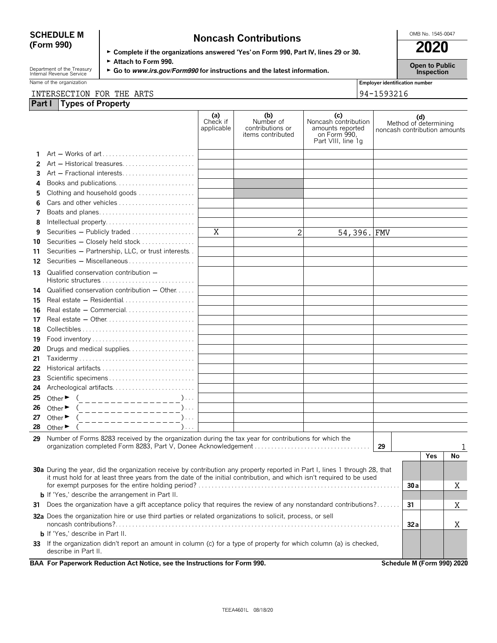| <b>SCHEDULE M</b><br>(Form 990) | <b>Noncash Contributions</b>                                                         | OMB No. 1545-0047 |
|---------------------------------|--------------------------------------------------------------------------------------|-------------------|
|                                 | ► Complete if the organizations answered 'Yes' on Form 990, Part IV, lines 29 or 30. | 2020              |
|                                 | .  ^^^                                                                               |                   |

Department of the Treasury **Comment of the Treasury Feature Commence 1 Commence 2012 Commence 2013**<br>Internal Revenue Service **Inspection** 

Name of the organization **Employer identification number Employer identification number** 

# INTERSECTION FOR THE ARTS 3216

| Part I | <b>Types of Property</b>                                                                                                                     |                               |                                                           |                                                                                       |                              |     |                       |                            |  |
|--------|----------------------------------------------------------------------------------------------------------------------------------------------|-------------------------------|-----------------------------------------------------------|---------------------------------------------------------------------------------------|------------------------------|-----|-----------------------|----------------------------|--|
|        |                                                                                                                                              | (a)<br>Check if<br>applicable | (b)<br>Number of<br>contributions or<br>items contributed | (c)<br>Noncash contribution<br>amounts reported<br>on Form 990.<br>Part VIII, line 1q | noncash contribution amounts | (d) | Method of determining |                            |  |
| ı      |                                                                                                                                              |                               |                                                           |                                                                                       |                              |     |                       |                            |  |
| 2      |                                                                                                                                              |                               |                                                           |                                                                                       |                              |     |                       |                            |  |
| 3      |                                                                                                                                              |                               |                                                           |                                                                                       |                              |     |                       |                            |  |
| 4      | Books and publications                                                                                                                       |                               |                                                           |                                                                                       |                              |     |                       |                            |  |
| 5      | Clothing and household goods                                                                                                                 |                               |                                                           |                                                                                       |                              |     |                       |                            |  |
| 6      | Cars and other vehicles                                                                                                                      |                               |                                                           |                                                                                       |                              |     |                       |                            |  |
| 7      | Boats and planes                                                                                                                             |                               |                                                           |                                                                                       |                              |     |                       |                            |  |
| 8      |                                                                                                                                              |                               |                                                           |                                                                                       |                              |     |                       |                            |  |
| 9      | Securities - Publicly traded                                                                                                                 | $\overline{X}$                | 2                                                         | 54,396.                                                                               | <b>FMV</b>                   |     |                       |                            |  |
| 10     | Securities - Closely held stock                                                                                                              |                               |                                                           |                                                                                       |                              |     |                       |                            |  |
| 11     | Securities - Partnership, LLC, or trust interests                                                                                            |                               |                                                           |                                                                                       |                              |     |                       |                            |  |
| 12     | Securities - Miscellaneous                                                                                                                   |                               |                                                           |                                                                                       |                              |     |                       |                            |  |
| 13     | Qualified conservation contribution -                                                                                                        |                               |                                                           |                                                                                       |                              |     |                       |                            |  |
| 14     | Qualified conservation contribution $-$ Other $\dots$ .                                                                                      |                               |                                                           |                                                                                       |                              |     |                       |                            |  |
| 15     | Real estate $-$ Residential                                                                                                                  |                               |                                                           |                                                                                       |                              |     |                       |                            |  |
| 16     |                                                                                                                                              |                               |                                                           |                                                                                       |                              |     |                       |                            |  |
| 17     |                                                                                                                                              |                               |                                                           |                                                                                       |                              |     |                       |                            |  |
| 18     |                                                                                                                                              |                               |                                                           |                                                                                       |                              |     |                       |                            |  |
| 19     |                                                                                                                                              |                               |                                                           |                                                                                       |                              |     |                       |                            |  |
| 20     | Drugs and medical supplies                                                                                                                   |                               |                                                           |                                                                                       |                              |     |                       |                            |  |
|        |                                                                                                                                              |                               |                                                           |                                                                                       |                              |     |                       |                            |  |
| 21     |                                                                                                                                              |                               |                                                           |                                                                                       |                              |     |                       |                            |  |
| 22     |                                                                                                                                              |                               |                                                           |                                                                                       |                              |     |                       |                            |  |
| 23     | Scientific specimens                                                                                                                         |                               |                                                           |                                                                                       |                              |     |                       |                            |  |
| 24     | Archeological artifacts                                                                                                                      |                               |                                                           |                                                                                       |                              |     |                       |                            |  |
| 25     | Other $\blacktriangleright$ (<br>. _ _ _ _ _ _ _ _ _ _ _ _ _ _ <sup>)</sup>                                                                  |                               |                                                           |                                                                                       |                              |     |                       |                            |  |
| 26     | —————————————— <sup>)</sup><br>Other $\blacktriangleright$<br>$\left($                                                                       |                               |                                                           |                                                                                       |                              |     |                       |                            |  |
| 27     | Other $\blacktriangleright$<br>$) \ldots$<br>_____________                                                                                   |                               |                                                           |                                                                                       |                              |     |                       |                            |  |
| 28     | Other $\blacktriangleright$<br>$) \ldots$                                                                                                    |                               |                                                           |                                                                                       |                              |     |                       |                            |  |
|        | 29 Number of Forms 8283 received by the organization during the tax year for contributions for which the                                     |                               |                                                           |                                                                                       |                              |     |                       |                            |  |
|        | organization completed Form 8283, Part V, Donee Acknowledgement                                                                              |                               |                                                           |                                                                                       | 29                           |     |                       | Τ                          |  |
|        |                                                                                                                                              |                               |                                                           |                                                                                       |                              |     | Yes                   | No                         |  |
|        | <b>30a</b> During the year, did the organization receive by contribution any property reported in Part I, lines 1 through 28, that           |                               |                                                           |                                                                                       |                              |     |                       |                            |  |
|        | it must hold for at least three years from the date of the initial contribution, and which isn't required to be used                         |                               |                                                           |                                                                                       |                              |     |                       |                            |  |
|        |                                                                                                                                              |                               |                                                           |                                                                                       |                              | 30a |                       | Χ                          |  |
|        | <b>b</b> If 'Yes,' describe the arrangement in Part II.                                                                                      |                               |                                                           |                                                                                       |                              |     |                       |                            |  |
| 31     | Does the organization have a gift acceptance policy that requires the review of any nonstandard contributions?<br>Χ<br>31                    |                               |                                                           |                                                                                       |                              |     |                       |                            |  |
|        | <b>32a</b> Does the organization hire or use third parties or related organizations to solicit, process, or sell<br>noncash contributions?   |                               |                                                           |                                                                                       |                              |     |                       | Χ                          |  |
|        | <b>b</b> If 'Yes,' describe in Part II.                                                                                                      |                               |                                                           |                                                                                       |                              |     |                       |                            |  |
|        | 33 If the organization didn't report an amount in column (c) for a type of property for which column (a) is checked,<br>describe in Part II. |                               |                                                           |                                                                                       |                              |     |                       |                            |  |
|        | BAA For Paperwork Reduction Act Notice, see the Instructions for Form 990.                                                                   |                               |                                                           |                                                                                       |                              |     |                       | Schedule M (Form 990) 2020 |  |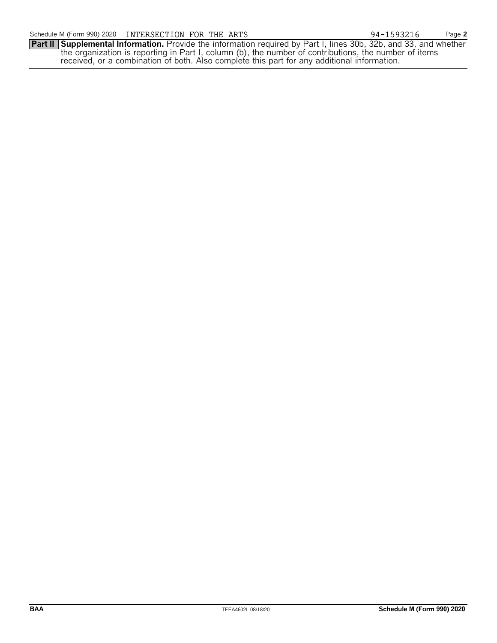**Part II Supplemental Information.** Provide the information required by Part I, lines 30b, 32b, and 33, and whether the organization is reporting in Part I, column (b), the number of contributions, the number of items received, or a combination of both. Also complete this part for any additional information.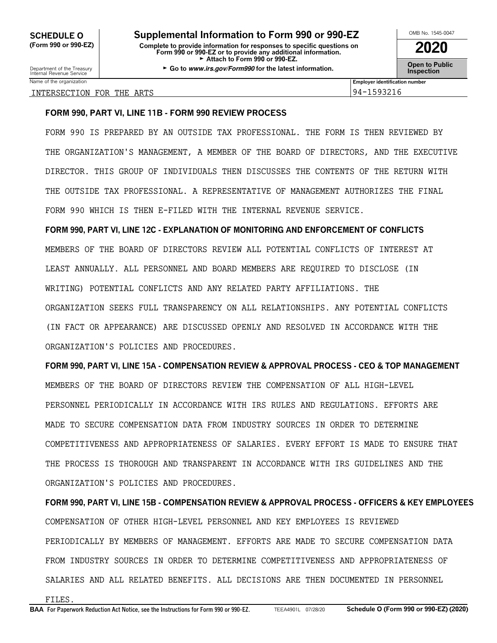INTERSECTION FOR THE ARTS 94-1593216

Name of the organization **Employer identification number Employer identification number** 

# **FORM 990, PART VI, LINE 11B - FORM 990 REVIEW PROCESS**

FORM 990 IS PREPARED BY AN OUTSIDE TAX PROFESSIONAL. THE FORM IS THEN REVIEWED BY THE ORGANIZATION'S MANAGEMENT, A MEMBER OF THE BOARD OF DIRECTORS, AND THE EXECUTIVE DIRECTOR. THIS GROUP OF INDIVIDUALS THEN DISCUSSES THE CONTENTS OF THE RETURN WITH THE OUTSIDE TAX PROFESSIONAL. A REPRESENTATIVE OF MANAGEMENT AUTHORIZES THE FINAL FORM 990 WHICH IS THEN E-FILED WITH THE INTERNAL REVENUE SERVICE.

**FORM 990, PART VI, LINE 12C - EXPLANATION OF MONITORING AND ENFORCEMENT OF CONFLICTS** MEMBERS OF THE BOARD OF DIRECTORS REVIEW ALL POTENTIAL CONFLICTS OF INTEREST AT LEAST ANNUALLY. ALL PERSONNEL AND BOARD MEMBERS ARE REQUIRED TO DISCLOSE (IN WRITING) POTENTIAL CONFLICTS AND ANY RELATED PARTY AFFILIATIONS. THE ORGANIZATION SEEKS FULL TRANSPARENCY ON ALL RELATIONSHIPS. ANY POTENTIAL CONFLICTS (IN FACT OR APPEARANCE) ARE DISCUSSED OPENLY AND RESOLVED IN ACCORDANCE WITH THE ORGANIZATION'S POLICIES AND PROCEDURES.

**FORM 990, PART VI, LINE 15A - COMPENSATION REVIEW & APPROVAL PROCESS - CEO & TOP MANAGEMENT** MEMBERS OF THE BOARD OF DIRECTORS REVIEW THE COMPENSATION OF ALL HIGH-LEVEL PERSONNEL PERIODICALLY IN ACCORDANCE WITH IRS RULES AND REGULATIONS. EFFORTS ARE MADE TO SECURE COMPENSATION DATA FROM INDUSTRY SOURCES IN ORDER TO DETERMINE COMPETITIVENESS AND APPROPRIATENESS OF SALARIES. EVERY EFFORT IS MADE TO ENSURE THAT THE PROCESS IS THOROUGH AND TRANSPARENT IN ACCORDANCE WITH IRS GUIDELINES AND THE ORGANIZATION'S POLICIES AND PROCEDURES.

**FORM 990, PART VI, LINE 15B - COMPENSATION REVIEW & APPROVAL PROCESS - OFFICERS & KEY EMPLOYEES** COMPENSATION OF OTHER HIGH-LEVEL PERSONNEL AND KEY EMPLOYEES IS REVIEWED PERIODICALLY BY MEMBERS OF MANAGEMENT. EFFORTS ARE MADE TO SECURE COMPENSATION DATA FROM INDUSTRY SOURCES IN ORDER TO DETERMINE COMPETITIVENESS AND APPROPRIATENESS OF SALARIES AND ALL RELATED BENEFITS. ALL DECISIONS ARE THEN DOCUMENTED IN PERSONNEL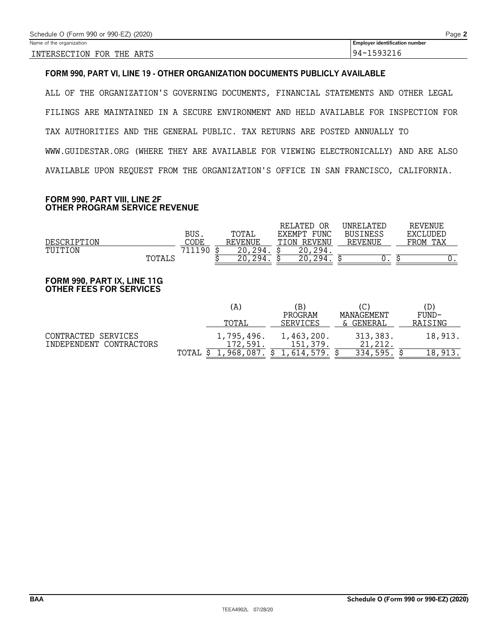| Schedule O (Form 990 or 990-EZ) (2020) | Page 2                                |
|----------------------------------------|---------------------------------------|
| Name of the organization               | <b>Employer identification number</b> |
| INTERSECTION FOR THE ARTS              | 194-1593216                           |

# **FORM 990, PART VI, LINE 19 - OTHER ORGANIZATION DOCUMENTS PUBLICLY AVAILABLE**

ALL OF THE ORGANIZATION'S GOVERNING DOCUMENTS, FINANCIAL STATEMENTS AND OTHER LEGAL FILINGS ARE MAINTAINED IN A SECURE ENVIRONMENT AND HELD AVAILABLE FOR INSPECTION FOR TAX AUTHORITIES AND THE GENERAL PUBLIC. TAX RETURNS ARE POSTED ANNUALLY TO WWW.GUIDESTAR.ORG (WHERE THEY ARE AVAILABLE FOR VIEWING ELECTRONICALLY) AND ARE ALSO AVAILABLE UPON REQUEST FROM THE ORGANIZATION'S OFFICE IN SAN FRANCISCO, CALIFORNIA.

### **FORM 990, PART VIII, LINE 2F OTHER PROGRAM SERVICE REVENUE**

|             |        |            |                |               | ΟR<br>RELATED | UNRELATED       | <b>REVENUE</b> |
|-------------|--------|------------|----------------|---------------|---------------|-----------------|----------------|
|             |        | BUS.       | TOTAL          | <b>EXEMPT</b> | FUNC          | <b>BUSINESS</b> | EXCLUDED       |
| DESCRIPTION |        | CODE       | <b>REVENUE</b> | TION          | REVENU        | REVENUE         | TAX<br>FROM    |
| TUITION     |        | 190<br>711 | 294<br>20      |               | 294<br>20     |                 |                |
|             | TOTALS |            | 294.<br>20     |               | 294.<br>20    | ັ.              |                |

# **FORM 990, PART IX, LINE 11G OTHER FEES FOR SERVICES**

|                                                |       | (A)                    | (B)<br>PROGRAM         | (C)<br>MANAGEMENT   | FUND-     |
|------------------------------------------------|-------|------------------------|------------------------|---------------------|-----------|
|                                                |       | TOTAL                  | <b>SERVICES</b>        | & GENERAL           | RAISING   |
| CONTRACTED SERVICES<br>INDEPENDENT CONTRACTORS |       | 1,795,496.<br>172,591. | 1,463,200.<br>151,379. | 313, 383.<br>21,212 | 18,913.   |
|                                                | TOTAL | 968.                   | ',579.<br>614,         | 334,595             | 913.<br>8 |